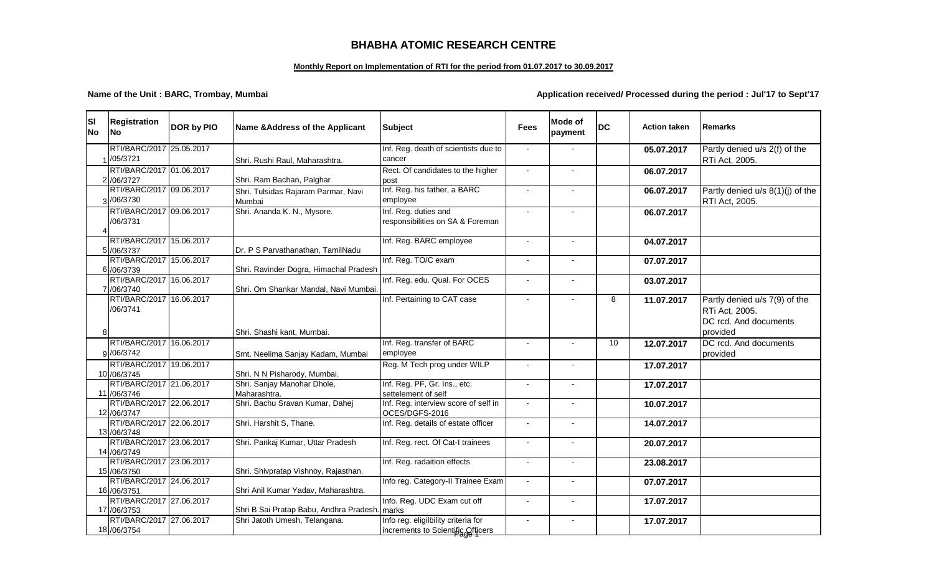## **BHABHA ATOMIC RESEARCH CENTRE**

## **Monthly Report on Implementation of RTI for the period from 01.07.2017 to 30.09.2017**

**Name of the Unit : BARC, Trombay, Mumbai Application received/ Processed during the period : Jul'17 to Sept'17** 

| lsı<br><b>No</b> | <b>Registration</b><br><b>INo</b>        | DOR by PIO | Name & Address of the Applicant               | <b>Subject</b>                                                           | <b>Fees</b>    | <b>Mode of</b><br>payment | <b>DC</b> | <b>Action taken</b> | Remarks                                                                         |
|------------------|------------------------------------------|------------|-----------------------------------------------|--------------------------------------------------------------------------|----------------|---------------------------|-----------|---------------------|---------------------------------------------------------------------------------|
|                  | RTI/BARC/2017 25.05.2017<br>/05/3721     |            | Shri. Rushi Raul, Maharashtra.                | Inf. Reg. death of scientists due to<br>cancer                           |                |                           |           | 05.07.2017          | Partly denied u/s 2(f) of the<br>RTi Act, 2005.                                 |
|                  | RTI/BARC/2017 01.06.2017<br>2 /06/3727   |            | Shri. Ram Bachan, Palghar                     | Rect. Of candidates to the higher<br>post                                | $\sim$         | $\blacksquare$            |           | 06.07.2017          |                                                                                 |
|                  | RTI/BARC/2017 09.06.2017<br>3/06/3730    |            | Shri. Tulsidas Rajaram Parmar, Navi<br>Mumbai | Inf. Reg. his father, a BARC<br>employee                                 |                |                           |           | 06.07.2017          | Partly denied u/s 8(1)(j) of the<br>RTI Act, 2005.                              |
|                  | RTI/BARC/2017 09.06.2017<br>/06/3731     |            | Shri. Ananda K. N., Mysore.                   | Inf. Reg. duties and<br>responsibilities on SA & Foreman                 |                |                           |           | 06.07.2017          |                                                                                 |
|                  | RTI/BARC/2017 15.06.2017<br>5 /06/3737   |            | Dr. P S Parvathanathan, TamilNadu             | Inf. Reg. BARC employee                                                  |                | $\overline{a}$            |           | 04.07.2017          |                                                                                 |
|                  | RTI/BARC/2017 15.06.2017<br>6 /06/3739   |            | Shri. Ravinder Dogra, Himachal Pradesh        | Inf. Reg. TO/C exam                                                      |                |                           |           | 07.07.2017          |                                                                                 |
|                  | RTI/BARC/2017 16.06.2017<br>7 /06/3740   |            | Shri, Om Shankar Mandal, Navi Mumbai,         | Inf. Reg. edu. Qual. For OCES                                            | $\sim$         | $\sim$                    |           | 03.07.2017          |                                                                                 |
|                  | RTI/BARC/2017 16.06.2017<br>/06/3741     |            |                                               | Inf. Pertaining to CAT case                                              |                |                           | 8         | 11.07.2017          | Partly denied u/s 7(9) of the<br><b>RTi Act, 2005.</b><br>DC rcd. And documents |
|                  |                                          |            | Shri. Shashi kant, Mumbai.                    |                                                                          |                |                           |           |                     | provided                                                                        |
|                  | RTI/BARC/2017<br>g /06/3742              | 16.06.2017 | Smt. Neelima Sanjay Kadam, Mumbai             | Inf. Reg. transfer of BARC<br>employee                                   |                | $\overline{\phantom{a}}$  | 10        | 12.07.2017          | DC rcd. And documents<br>provided                                               |
|                  | RTI/BARC/2017 19.06.2017<br>10 /06/3745  |            | Shri. N N Pisharody, Mumbai.                  | Reg. M Tech prog under WILP                                              |                | $\overline{\phantom{a}}$  |           | 17.07.2017          |                                                                                 |
|                  | RTI/BARC/2017 21.06.2017<br>11 /06/3746  |            | Shri. Sanjay Manohar Dhole,<br>Maharashtra.   | Inf. Reg. PF, Gr. Ins., etc.<br>settelement of self                      |                | $\overline{a}$            |           | 17.07.2017          |                                                                                 |
|                  | RTI/BARC/2017 22.06.2017<br>12 /06/3747  |            | Shri. Bachu Sravan Kumar, Dahej               | Inf. Reg. interview score of self in<br>OCES/DGFS-2016                   |                |                           |           | 10.07.2017          |                                                                                 |
|                  | RTI/BARC/2017 22.06.2017<br>13 / 06/3748 |            | Shri. Harshit S, Thane.                       | Inf. Reg. details of estate officer                                      |                | $\overline{a}$            |           | 14.07.2017          |                                                                                 |
|                  | RTI/BARC/2017 23.06.2017<br>14 /06/3749  |            | Shri. Pankaj Kumar, Uttar Pradesh             | Inf. Reg. rect. Of Cat-I trainees                                        |                |                           |           | 20.07.2017          |                                                                                 |
|                  | RTI/BARC/2017 23.06.2017<br>15 /06/3750  |            | Shri. Shivpratap Vishnoy, Rajasthan.          | Inf. Reg. radaition effects                                              | $\overline{a}$ | $\blacksquare$            |           | 23.08.2017          |                                                                                 |
|                  | RTI/BARC/2017 24.06.2017<br>16 /06/3751  |            | Shri Anil Kumar Yadav, Maharashtra.           | Info reg. Category-II Trainee Exam                                       | $\sim$         | $\blacksquare$            |           | 07.07.2017          |                                                                                 |
|                  | RTI/BARC/2017 27.06.2017<br>17 / 06/3753 |            | Shri B Sai Pratap Babu, Andhra Pradesh. marks | Info. Reg. UDC Exam cut off                                              |                |                           |           | 17.07.2017          |                                                                                 |
|                  | RTI/BARC/2017 27.06.2017<br>18 /06/3754  |            | Shri Jatoth Umesh, Telangana.                 | Info reg. eligilbility criteria for<br>increments to Scientific Officers |                | ÷,                        |           | 17.07.2017          |                                                                                 |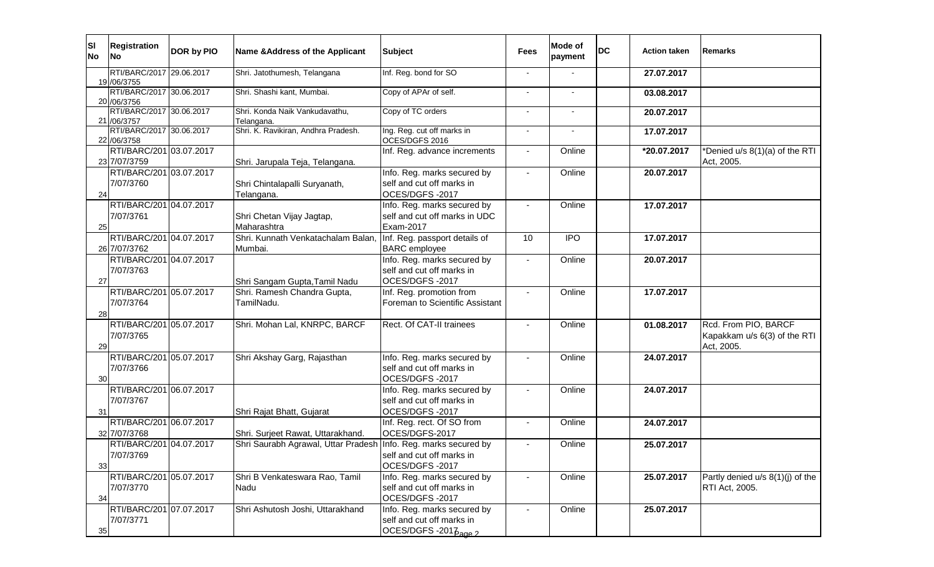| <b>SI</b><br><b>No</b> | <b>Registration</b><br><b>No</b>         | DOR by PIO | Name & Address of the Applicant                                 | <b>Subject</b>                                                                              | <b>Fees</b>              | Mode of<br>payment | <b>DC</b> | <b>Action taken</b> | <b>Remarks</b>                                                     |
|------------------------|------------------------------------------|------------|-----------------------------------------------------------------|---------------------------------------------------------------------------------------------|--------------------------|--------------------|-----------|---------------------|--------------------------------------------------------------------|
|                        | RTI/BARC/2017 29.06.2017<br>19 / 06/3755 |            | Shri. Jatothumesh, Telangana                                    | Inf. Reg. bond for SO                                                                       |                          |                    |           | 27.07.2017          |                                                                    |
|                        | RTI/BARC/2017 30.06.2017<br>20 / 06/3756 |            | Shri. Shashi kant, Mumbai.                                      | Copy of APAr of self.                                                                       | $\overline{\phantom{a}}$ |                    |           | 03.08.2017          |                                                                    |
|                        | RTI/BARC/2017 30.06.2017<br>21 /06/3757  |            | Shri. Konda Naik Vankudavathu,<br>Telangana.                    | Copy of TC orders                                                                           |                          |                    |           | 20.07.2017          |                                                                    |
|                        | RTI/BARC/2017 30.06.2017<br>22 / 06/3758 |            | Shri. K. Ravikiran, Andhra Pradesh.                             | Ing. Reg. cut off marks in<br>OCES/DGFS 2016                                                | $\overline{\phantom{a}}$ |                    |           | 17.07.2017          |                                                                    |
|                        | RTI/BARC/201 03.07.2017<br>23 7/07/3759  |            | Shri. Jarupala Teja, Telangana.                                 | Inf. Reg. advance increments                                                                |                          | Online             |           | *20.07.2017         | *Denied u/s 8(1)(a) of the RTI<br>Act, 2005.                       |
| 24                     | RTI/BARC/201 03.07.2017<br>7/07/3760     |            | Shri Chintalapalli Suryanath,<br>Telangana.                     | Info. Reg. marks secured by<br>self and cut off marks in<br>OCES/DGFS-2017                  | $\blacksquare$           | Online             |           | 20.07.2017          |                                                                    |
| 25                     | RTI/BARC/201 04.07.2017<br>7/07/3761     |            | Shri Chetan Vijay Jagtap,<br>Maharashtra                        | Info. Reg. marks secured by<br>self and cut off marks in UDC<br>Exam-2017                   | $\blacksquare$           | Online             |           | 17.07.2017          |                                                                    |
|                        | RTI/BARC/201 04.07.2017<br>26 7/07/3762  |            | Shri. Kunnath Venkatachalam Balan,<br>Mumbai.                   | Inf. Reg. passport details of<br><b>BARC</b> employee                                       | 10                       | <b>IPO</b>         |           | 17.07.2017          |                                                                    |
| 27                     | RTI/BARC/201 04.07.2017<br>7/07/3763     |            | Shri Sangam Gupta, Tamil Nadu                                   | Info. Reg. marks secured by<br>self and cut off marks in<br>OCES/DGFS-2017                  |                          | Online             |           | 20.07.2017          |                                                                    |
| 28                     | RTI/BARC/201 05.07.2017<br>7/07/3764     |            | Shri. Ramesh Chandra Gupta,<br>TamilNadu.                       | Inf. Reg. promotion from<br>Foreman to Scientific Assistant                                 |                          | Online             |           | 17.07.2017          |                                                                    |
| 29                     | RTI/BARC/201 05.07.2017<br>7/07/3765     |            | Shri. Mohan Lal, KNRPC, BARCF                                   | Rect. Of CAT-II trainees                                                                    |                          | Online             |           | 01.08.2017          | Rcd. From PIO, BARCF<br>Kapakkam u/s 6(3) of the RTI<br>Act, 2005. |
| 30                     | RTI/BARC/201 05.07.2017<br>7/07/3766     |            | Shri Akshay Garg, Rajasthan                                     | Info. Reg. marks secured by<br>self and cut off marks in<br>OCES/DGFS-2017                  |                          | Online             |           | 24.07.2017          |                                                                    |
| 31                     | RTI/BARC/201 06.07.2017<br>7/07/3767     |            | Shri Rajat Bhatt, Gujarat                                       | Info. Reg. marks secured by<br>self and cut off marks in<br>OCES/DGFS-2017                  |                          | Online             |           | 24.07.2017          |                                                                    |
|                        | RTI/BARC/201 06.07.2017<br>32 7/07/3768  |            | Shri. Surjeet Rawat, Uttarakhand.                               | Inf. Reg. rect. Of SO from<br>OCES/DGFS-2017                                                |                          | Online             |           | 24.07.2017          |                                                                    |
| 33                     | RTI/BARC/201 04.07.2017<br>7/07/3769     |            | Shri Saurabh Agrawal, Uttar Pradesh Info. Reg. marks secured by | self and cut off marks in<br>OCES/DGFS-2017                                                 |                          | Online             |           | 25.07.2017          |                                                                    |
| 34                     | RTI/BARC/201 05.07.2017<br>7/07/3770     |            | Shri B Venkateswara Rao, Tamil<br>Nadu                          | Info. Reg. marks secured by<br>self and cut off marks in<br>OCES/DGFS-2017                  |                          | Online             |           | 25.07.2017          | Partly denied u/s 8(1)(j) of the<br>RTI Act, 2005.                 |
| 35                     | RTI/BARC/201 07.07.2017<br>7/07/3771     |            | Shri Ashutosh Joshi, Uttarakhand                                | Info. Reg. marks secured by<br>self and cut off marks in<br>OCES/DGFS-2017 <sub>age 2</sub> |                          | Online             |           | 25.07.2017          |                                                                    |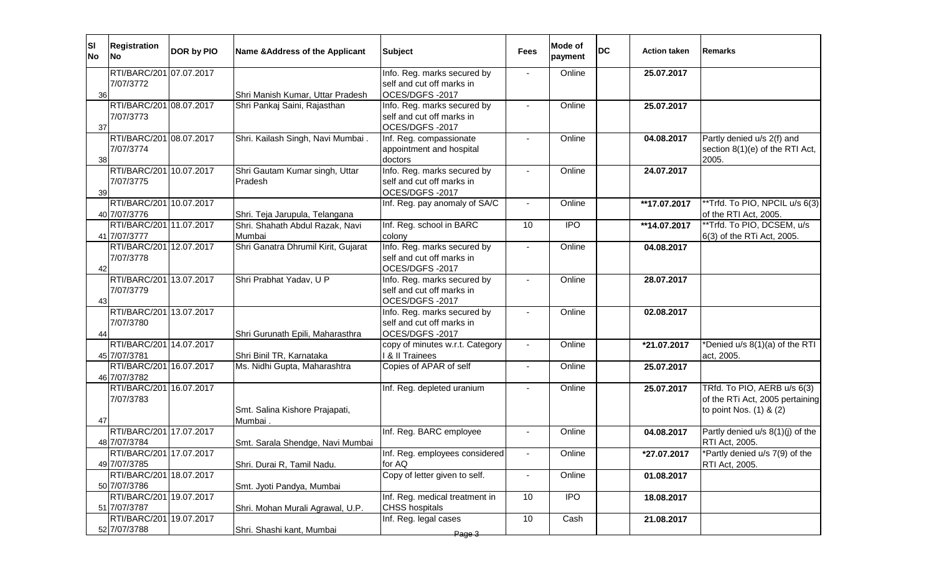| SI <br><b>No</b> | <b>Registration</b><br>lNo.             | DOR by PIO | Name & Address of the Applicant           | <b>Subject</b>                                                             | Fees           | Mode of<br>payment | <b>DC</b> | <b>Action taken</b>        | Remarks                                                                                   |
|------------------|-----------------------------------------|------------|-------------------------------------------|----------------------------------------------------------------------------|----------------|--------------------|-----------|----------------------------|-------------------------------------------------------------------------------------------|
| 36               | RTI/BARC/201 07.07.2017<br>7/07/3772    |            | Shri Manish Kumar, Uttar Pradesh          | Info. Reg. marks secured by<br>self and cut off marks in<br>OCES/DGFS-2017 |                | Online             |           | 25.07.2017                 |                                                                                           |
| 37               | RTI/BARC/201 08.07.2017<br>7/07/3773    |            | Shri Pankaj Saini, Rajasthan              | Info. Reg. marks secured by<br>self and cut off marks in<br>OCES/DGFS-2017 |                | Online             |           | 25.07.2017                 |                                                                                           |
| 38               | RTI/BARC/201 08.07.2017<br>7/07/3774    |            | Shri. Kailash Singh, Navi Mumbai.         | Inf. Reg. compassionate<br>appointment and hospital<br>doctors             |                | Online             |           | 04.08.2017                 | Partly denied u/s 2(f) and<br>section 8(1)(e) of the RTI Act,<br>2005.                    |
| 39               | RTI/BARC/201 10.07.2017<br>7/07/3775    |            | Shri Gautam Kumar singh, Uttar<br>Pradesh | Info. Reg. marks secured by<br>self and cut off marks in<br>OCES/DGFS-2017 |                | Online             |           | 24.07.2017                 |                                                                                           |
|                  | RTI/BARC/201 10.07.2017<br>40 7/07/3776 |            | Shri. Teja Jarupula, Telangana            | Inf. Reg. pay anomaly of SA/C                                              |                | Online             |           | **17.07.2017               | **Trfd. To PIO, NPCIL u/s 6(3)<br>of the RTI Act, 2005.                                   |
|                  | RTI/BARC/201 11.07.2017<br>41 7/07/3777 |            | Shri. Shahath Abdul Razak, Navi<br>Mumbai | Inf. Reg. school in BARC<br>colony                                         | 10             | <b>IPO</b>         |           | $\overline{**}$ 14.07.2017 | **Trfd. To PIO, DCSEM, u/s<br>6(3) of the RTi Act, 2005.                                  |
| 42               | RTI/BARC/201 12.07.2017<br>7/07/3778    |            | Shri Ganatra Dhrumil Kirit, Gujarat       | Info. Reg. marks secured by<br>self and cut off marks in<br>OCES/DGFS-2017 |                | Online             |           | 04.08.2017                 |                                                                                           |
| 43               | RTI/BARC/201 13.07.2017<br>7/07/3779    |            | Shri Prabhat Yadav, U P                   | Info. Reg. marks secured by<br>self and cut off marks in<br>OCES/DGFS-2017 |                | Online             |           | 28.07.2017                 |                                                                                           |
| 44               | RTI/BARC/201 13.07.2017<br>7/07/3780    |            | Shri Gurunath Epili, Maharasthra          | Info. Reg. marks secured by<br>self and cut off marks in<br>OCES/DGFS-2017 |                | Online             |           | 02.08.2017                 |                                                                                           |
|                  | RTI/BARC/201 14.07.2017<br>45 7/07/3781 |            | Shri Binil TR, Karnataka                  | copy of minutes w.r.t. Category<br>& II Trainees                           |                | Online             |           | *21.07.2017                | *Denied u/s 8(1)(a) of the RTI<br>act, 2005.                                              |
|                  | RTI/BARC/201 16.07.2017<br>46 7/07/3782 |            | Ms. Nidhi Gupta, Maharashtra              | Copies of APAR of self                                                     |                | Online             |           | 25.07.2017                 |                                                                                           |
| 47               | RTI/BARC/201 16.07.2017<br>7/07/3783    |            | Smt. Salina Kishore Prajapati,<br>Mumbai  | Inf. Reg. depleted uranium                                                 |                | Online             |           | 25.07.2017                 | TRfd. To PIO, AERB u/s 6(3)<br>of the RTi Act, 2005 pertaining<br>to point Nos. (1) & (2) |
|                  | RTI/BARC/201 17.07.2017<br>48 7/07/3784 |            | Smt. Sarala Shendge, Navi Mumbai          | Inf. Reg. BARC employee                                                    |                | Online             |           | 04.08.2017                 | Partly denied u/s 8(1)(j) of the<br>RTI Act, 2005.                                        |
|                  | RTI/BARC/201 17.07.2017<br>49 7/07/3785 |            | Shri. Durai R, Tamil Nadu.                | Inf. Reg. employees considered<br>for AQ                                   | $\blacksquare$ | Online             |           | *27.07.2017                | *Partly denied u/s 7(9) of the<br>RTI Act, 2005.                                          |
|                  | RTI/BARC/201 18.07.2017<br>50 7/07/3786 |            | Smt. Jyoti Pandya, Mumbai                 | Copy of letter given to self.                                              | $\blacksquare$ | Online             |           | 01.08.2017                 |                                                                                           |
|                  | RTI/BARC/201 19.07.2017<br>51 7/07/3787 |            | Shri. Mohan Murali Agrawal, U.P.          | Inf. Reg. medical treatment in<br><b>CHSS hospitals</b>                    | 10             | <b>IPO</b>         |           | 18.08.2017                 |                                                                                           |
|                  | RTI/BARC/201 19.07.2017<br>52 7/07/3788 |            | Shri. Shashi kant, Mumbai                 | Inf. Reg. legal cases<br>Page 3                                            | 10             | Cash               |           | 21.08.2017                 |                                                                                           |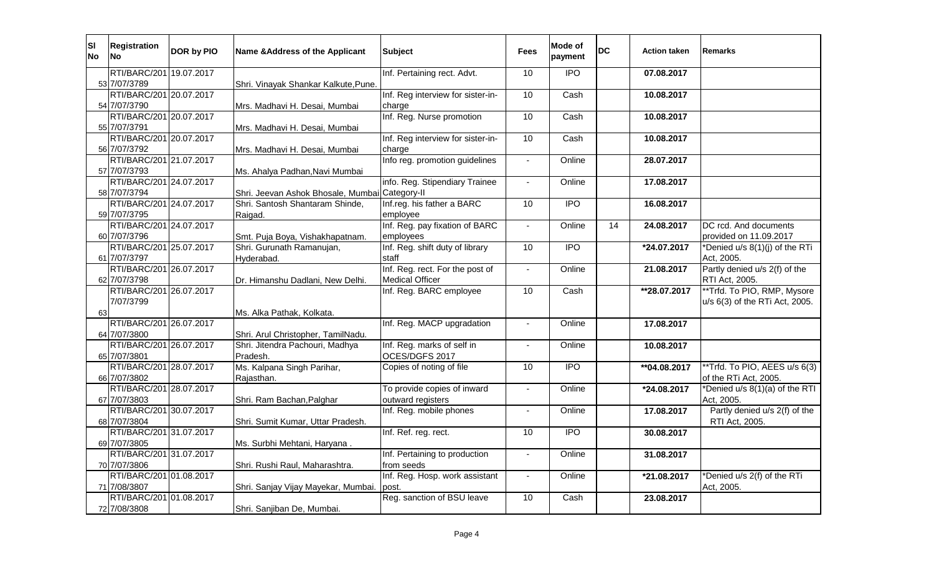| <b>SI</b><br><b>No</b> | <b>Registration</b><br>No               | DOR by PIO | Name & Address of the Applicant                | <b>Subject</b>                               | <b>Fees</b>    | Mode of<br>payment | <b>DC</b> | <b>Action taken</b> | <b>Remarks</b>                               |
|------------------------|-----------------------------------------|------------|------------------------------------------------|----------------------------------------------|----------------|--------------------|-----------|---------------------|----------------------------------------------|
|                        | RTI/BARC/201 19.07.2017                 |            |                                                | Inf. Pertaining rect. Advt.                  | 10             | $\overline{1}$     |           | 07.08.2017          |                                              |
|                        | 53 7/07/3789                            |            | Shri. Vinayak Shankar Kalkute, Pune.           |                                              |                |                    |           |                     |                                              |
|                        | RTI/BARC/201 20.07.2017                 |            |                                                | Inf. Reg interview for sister-in-            | 10             | Cash               |           | 10.08.2017          |                                              |
|                        | 54 7/07/3790                            |            | Mrs. Madhavi H. Desai, Mumbai                  | charge                                       |                |                    |           |                     |                                              |
|                        | RTI/BARC/201 20.07.2017                 |            |                                                | Inf. Reg. Nurse promotion                    | 10             | Cash               |           | 10.08.2017          |                                              |
|                        | 55 7/07/3791                            |            | Mrs. Madhavi H. Desai, Mumbai                  |                                              |                |                    |           |                     |                                              |
|                        | RTI/BARC/201 20.07.2017                 |            |                                                | Inf. Reg interview for sister-in-            | 10             | Cash               |           | 10.08.2017          |                                              |
|                        | 56 7/07/3792                            |            | Mrs. Madhavi H. Desai, Mumbai                  | charge                                       |                |                    |           |                     |                                              |
|                        | RTI/BARC/201 21.07.2017                 |            |                                                | Info reg. promotion guidelines               | $\mathbf{r}$   | Online             |           | 28.07.2017          |                                              |
|                        | 57 7/07/3793<br>RTI/BARC/201 24.07.2017 |            | Ms. Ahalya Padhan, Navi Mumbai                 | info. Reg. Stipendiary Trainee               | $\sim$         | Online             |           |                     |                                              |
|                        | 58 7/07/3794                            |            | Shri. Jeevan Ashok Bhosale, Mumbai Category-II |                                              |                |                    |           | 17.08.2017          |                                              |
|                        | RTI/BARC/201 24.07.2017                 |            | Shri. Santosh Shantaram Shinde,                | Inf.reg. his father a BARC                   | 10             | $\overline{1}$     |           | 16.08.2017          |                                              |
|                        | 59 7/07/3795                            |            | Raigad.                                        | employee                                     |                |                    |           |                     |                                              |
|                        | RTI/BARC/201 24.07.2017                 |            |                                                | Inf. Reg. pay fixation of BARC               | $\blacksquare$ | Online             | 14        | 24.08.2017          | DC rcd. And documents                        |
|                        | 60 7/07/3796                            |            | Smt. Puja Boya, Vishakhapatnam.                | employees                                    |                |                    |           |                     | provided on 11.09.2017                       |
|                        | RTI/BARC/201 25.07.2017                 |            | Shri. Gurunath Ramanujan,                      | Inf. Reg. shift duty of library              | 10             | <b>IPO</b>         |           | *24.07.2017         | *Denied u/s 8(1)(j) of the RTi               |
|                        | 61 7/07/3797                            |            | Hyderabad.                                     | staff                                        |                |                    |           |                     | Act, 2005.                                   |
|                        | RTI/BARC/201 26.07.2017                 |            |                                                | Inf. Reg. rect. For the post of              | $\blacksquare$ | Online             |           | 21.08.2017          | Partly denied u/s 2(f) of the                |
|                        | 62 7/07/3798                            |            | Dr. Himanshu Dadlani, New Delhi.               | <b>Medical Officer</b>                       |                |                    |           |                     | RTI Act, 2005.                               |
|                        | RTI/BARC/201 26.07.2017                 |            |                                                | Inf. Reg. BARC employee                      | 10             | Cash               |           | **28.07.2017        | **Trfd. To PIO, RMP, Mysore                  |
|                        | 7/07/3799                               |            |                                                |                                              |                |                    |           |                     | u/s 6(3) of the RTi Act, 2005.               |
| 63                     |                                         |            | Ms. Alka Pathak, Kolkata.                      |                                              |                |                    |           |                     |                                              |
|                        | RTI/BARC/201 26.07.2017                 |            |                                                | Inf. Reg. MACP upgradation                   |                | Online             |           | 17.08.2017          |                                              |
|                        | 64 7/07/3800                            |            | Shri. Arul Christopher, TamilNadu.             |                                              |                |                    |           |                     |                                              |
|                        | RTI/BARC/201 26.07.2017                 |            | Shri. Jitendra Pachouri, Madhya                | Inf. Reg. marks of self in                   | $\blacksquare$ | Online             |           | 10.08.2017          |                                              |
|                        | 65 7/07/3801                            |            | Pradesh.                                       | OCES/DGFS 2017                               |                |                    |           |                     |                                              |
|                        | RTI/BARC/201 28.07.2017                 |            | Ms. Kalpana Singh Parihar,                     | Copies of noting of file                     | 10             | <b>IPO</b>         |           | **04.08.2017        | **Trfd. To PIO, AEES u/s 6(3)                |
|                        | 66 7/07/3802                            |            | Rajasthan.                                     |                                              |                |                    |           |                     | of the RTi Act, 2005.                        |
|                        | RTI/BARC/201 28.07.2017<br>67 7/07/3803 |            |                                                | To provide copies of inward                  |                | Online             |           | *24.08.2017         | *Denied u/s 8(1)(a) of the RTI<br>Act, 2005. |
|                        | RTI/BARC/201 30.07.2017                 |            | Shri. Ram Bachan, Palghar                      | outward registers<br>Inf. Reg. mobile phones | $\mathbf{r}$   | Online             |           | 17.08.2017          | Partly denied u/s 2(f) of the                |
|                        | 68 7/07/3804                            |            | Shri. Sumit Kumar, Uttar Pradesh.              |                                              |                |                    |           |                     | RTI Act, 2005.                               |
|                        | RTI/BARC/201 31.07.2017                 |            |                                                | Inf. Ref. reg. rect.                         | 10             | <b>IPO</b>         |           | 30.08.2017          |                                              |
|                        | 69 7/07/3805                            |            | Ms. Surbhi Mehtani, Haryana.                   |                                              |                |                    |           |                     |                                              |
|                        | RTI/BARC/201 31.07.2017                 |            |                                                | Inf. Pertaining to production                | $\overline{a}$ | Online             |           | 31.08.2017          |                                              |
|                        | 70 7/07/3806                            |            | Shri. Rushi Raul, Maharashtra.                 | from seeds                                   |                |                    |           |                     |                                              |
|                        | RTI/BARC/201 01.08.2017                 |            |                                                | Inf. Reg. Hosp. work assistant               | $\mathbf{r}$   | Online             |           | *21.08.2017         | *Denied u/s 2(f) of the RTi                  |
|                        | 71 7/08/3807                            |            | Shri. Sanjay Vijay Mayekar, Mumbai.            | post.                                        |                |                    |           |                     | Act, 2005.                                   |
|                        | RTI/BARC/201 01.08.2017                 |            |                                                | Reg. sanction of BSU leave                   | 10             | Cash               |           | 23.08.2017          |                                              |
|                        | 72 7/08/3808                            |            | Shri. Sanjiban De, Mumbai.                     |                                              |                |                    |           |                     |                                              |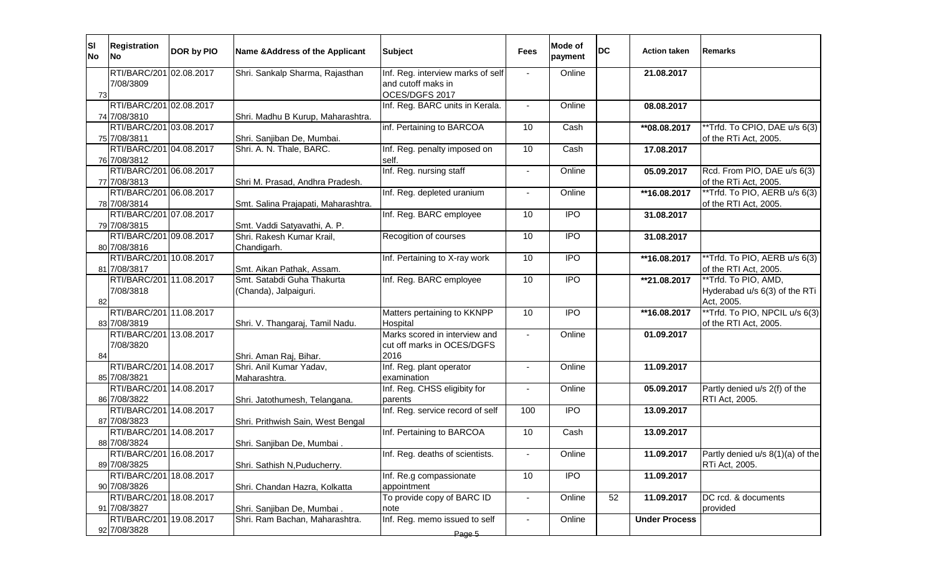| RTI/BARC/201 02.08.2017<br>Shri. Sankalp Sharma, Rajasthan<br>Inf. Reg. interview marks of self<br>Online<br>21.08.2017<br>7/08/3809<br>and cutoff maks in<br>OCES/DGFS 2017<br>73<br>RTI/BARC/201 02.08.2017<br>Inf. Reg. BARC units in Kerala.<br>Online<br>08.08.2017<br>$\blacksquare$<br>74 7/08/3810<br>Shri. Madhu B Kurup, Maharashtra.<br>RTI/BARC/201 03.08.2017<br>inf. Pertaining to BARCOA<br>**Trfd. To CPIO, DAE u/s 6(3)<br>10<br>Cash<br>**08.08.2017<br>75 7/08/3811<br>of the RTi Act, 2005.<br>Shri. Sanjiban De, Mumbai.<br>RTI/BARC/201 04.08.2017<br>Shri. A. N. Thale, BARC.<br>Inf. Reg. penalty imposed on<br>10<br>Cash<br>17.08.2017<br>76 7/08/3812<br>self.<br>RTI/BARC/201 06.08.2017<br>Inf. Reg. nursing staff<br>Rcd. From PIO, DAE u/s 6(3)<br>Online<br>05.09.2017<br>$\sim$<br>77 7/08/3813<br>of the RTi Act, 2005.<br>Shri M. Prasad, Andhra Pradesh.<br>RTI/BARC/201 06.08.2017<br>**Trfd. To PIO, AERB u/s 6(3)<br>Inf. Reg. depleted uranium<br>Online<br>**16.08.2017<br>78 7/08/3814<br>of the RTI Act, 2005.<br>Smt. Salina Prajapati, Maharashtra.<br>RTI/BARC/201 07.08.2017<br><b>IPO</b><br>Inf. Reg. BARC employee<br>10<br>31.08.2017<br>Smt. Vaddi Satyavathi, A. P.<br>79 7/08/3815<br>RTI/BARC/201 09.08.2017<br>$\overline{1}$<br>Shri. Rakesh Kumar Krail,<br>Recogition of courses<br>10<br>31.08.2017<br>80 7/08/3816<br>Chandigarh.<br>RTI/BARC/201 10.08.2017<br>10<br><b>IPO</b><br>**Trfd. To PIO, AERB u/s 6(3)<br>Inf. Pertaining to X-ray work<br>**16.08.2017<br>81 7/08/3817<br>of the RTI Act, 2005.<br>Smt. Aikan Pathak, Assam.<br>RTI/BARC/201 11.08.2017<br>10<br><b>IPO</b><br>Smt. Satabdi Guha Thakurta<br>Inf. Reg. BARC employee<br>**21.08.2017<br>**Trfd. To PIO, AMD,<br>Hyderabad u/s 6(3) of the RTi<br>7/08/3818<br>(Chanda), Jalpaiguri.<br>Act, 2005.<br>82<br>**Trfd. To PIO, NPCIL u/s 6(3)<br>RTI/BARC/201 11.08.2017<br>Matters pertaining to KKNPP<br><b>IPO</b><br>10<br>**16.08.2017<br>83 7/08/3819<br>Shri. V. Thangaraj, Tamil Nadu.<br>Hospital<br>of the RTI Act, 2005.<br>Marks scored in interview and<br>13.08.2017<br>RTI/BARC/201<br>Online<br>01.09.2017<br>7/08/3820<br>cut off marks in OCES/DGFS<br>2016<br>Shri. Aman Raj, Bihar.<br>84<br>RTI/BARC/201<br>14.08.2017<br>Shri. Anil Kumar Yadav,<br>Inf. Reg. plant operator<br>Online<br>11.09.2017<br>$\blacksquare$<br>85 7/08/3821<br>examination<br>Maharashtra.<br>Inf. Reg. CHSS eligibity for<br>RTI/BARC/201 14.08.2017<br>Online<br>Partly denied u/s 2(f) of the<br>05.09.2017<br>$\Delta$<br>86 7/08/3822<br>RTI Act, 2005.<br>Shri. Jatothumesh, Telangana.<br>parents<br>RTI/BARC/201 14.08.2017<br>Inf. Reg. service record of self<br><b>IPO</b><br>100<br>13.09.2017<br>87 7/08/3823<br>Shri. Prithwish Sain, West Bengal<br>RTI/BARC/201 14.08.2017<br>Inf. Pertaining to BARCOA<br>10<br>Cash<br>13.09.2017<br>88 7/08/3824<br>Shri. Sanjiban De, Mumbai.<br>RTI/BARC/201 16.08.2017<br>Inf. Reg. deaths of scientists.<br>Online<br>11.09.2017<br>Partly denied u/s 8(1)(a) of the<br>$\blacksquare$<br>89 7/08/3825<br>Shri. Sathish N, Puducherry.<br>RTi Act, 2005.<br><b>IPO</b><br>RTI/BARC/201<br>18.08.2017<br>Inf. Re.g compassionate<br>10<br>11.09.2017<br>90 7/08/3826<br>Shri. Chandan Hazra, Kolkatta<br>appointment<br>To provide copy of BARC ID<br>RTI/BARC/201<br>18.08.2017<br>DC rcd. & documents<br>Online<br>52<br>11.09.2017<br>$\blacksquare$<br>Shri. Sanjiban De, Mumbai.<br>91 7/08/3827<br>provided<br>note<br>Inf. Reg. memo issued to self<br>RTI/BARC/201<br>19.08.2017<br>Shri. Ram Bachan, Maharashtra.<br>Online<br><b>Under Process</b><br>92 7/08/3828<br>Page 5 | <b>SI</b><br><b>No</b> | <b>Registration</b><br>lNo l | DOR by PIO | Name & Address of the Applicant | <b>Subject</b> | <b>Fees</b> | Mode of<br>payment | <b>DC</b> | <b>Action taken</b> | Remarks |
|------------------------------------------------------------------------------------------------------------------------------------------------------------------------------------------------------------------------------------------------------------------------------------------------------------------------------------------------------------------------------------------------------------------------------------------------------------------------------------------------------------------------------------------------------------------------------------------------------------------------------------------------------------------------------------------------------------------------------------------------------------------------------------------------------------------------------------------------------------------------------------------------------------------------------------------------------------------------------------------------------------------------------------------------------------------------------------------------------------------------------------------------------------------------------------------------------------------------------------------------------------------------------------------------------------------------------------------------------------------------------------------------------------------------------------------------------------------------------------------------------------------------------------------------------------------------------------------------------------------------------------------------------------------------------------------------------------------------------------------------------------------------------------------------------------------------------------------------------------------------------------------------------------------------------------------------------------------------------------------------------------------------------------------------------------------------------------------------------------------------------------------------------------------------------------------------------------------------------------------------------------------------------------------------------------------------------------------------------------------------------------------------------------------------------------------------------------------------------------------------------------------------------------------------------------------------------------------------------------------------------------------------------------------------------------------------------------------------------------------------------------------------------------------------------------------------------------------------------------------------------------------------------------------------------------------------------------------------------------------------------------------------------------------------------------------------------------------------------------------------------------------------------------------------------------------------------------------------------------------------------------------------------------------------------------------------------------------------------------------------------------------------------------------------------------------------------------------------------------------------------------------------------------------------------------------------------------------------------------------------------------------------------------------------------------|------------------------|------------------------------|------------|---------------------------------|----------------|-------------|--------------------|-----------|---------------------|---------|
|                                                                                                                                                                                                                                                                                                                                                                                                                                                                                                                                                                                                                                                                                                                                                                                                                                                                                                                                                                                                                                                                                                                                                                                                                                                                                                                                                                                                                                                                                                                                                                                                                                                                                                                                                                                                                                                                                                                                                                                                                                                                                                                                                                                                                                                                                                                                                                                                                                                                                                                                                                                                                                                                                                                                                                                                                                                                                                                                                                                                                                                                                                                                                                                                                                                                                                                                                                                                                                                                                                                                                                                                                                                                                    |                        |                              |            |                                 |                |             |                    |           |                     |         |
|                                                                                                                                                                                                                                                                                                                                                                                                                                                                                                                                                                                                                                                                                                                                                                                                                                                                                                                                                                                                                                                                                                                                                                                                                                                                                                                                                                                                                                                                                                                                                                                                                                                                                                                                                                                                                                                                                                                                                                                                                                                                                                                                                                                                                                                                                                                                                                                                                                                                                                                                                                                                                                                                                                                                                                                                                                                                                                                                                                                                                                                                                                                                                                                                                                                                                                                                                                                                                                                                                                                                                                                                                                                                                    |                        |                              |            |                                 |                |             |                    |           |                     |         |
|                                                                                                                                                                                                                                                                                                                                                                                                                                                                                                                                                                                                                                                                                                                                                                                                                                                                                                                                                                                                                                                                                                                                                                                                                                                                                                                                                                                                                                                                                                                                                                                                                                                                                                                                                                                                                                                                                                                                                                                                                                                                                                                                                                                                                                                                                                                                                                                                                                                                                                                                                                                                                                                                                                                                                                                                                                                                                                                                                                                                                                                                                                                                                                                                                                                                                                                                                                                                                                                                                                                                                                                                                                                                                    |                        |                              |            |                                 |                |             |                    |           |                     |         |
|                                                                                                                                                                                                                                                                                                                                                                                                                                                                                                                                                                                                                                                                                                                                                                                                                                                                                                                                                                                                                                                                                                                                                                                                                                                                                                                                                                                                                                                                                                                                                                                                                                                                                                                                                                                                                                                                                                                                                                                                                                                                                                                                                                                                                                                                                                                                                                                                                                                                                                                                                                                                                                                                                                                                                                                                                                                                                                                                                                                                                                                                                                                                                                                                                                                                                                                                                                                                                                                                                                                                                                                                                                                                                    |                        |                              |            |                                 |                |             |                    |           |                     |         |
|                                                                                                                                                                                                                                                                                                                                                                                                                                                                                                                                                                                                                                                                                                                                                                                                                                                                                                                                                                                                                                                                                                                                                                                                                                                                                                                                                                                                                                                                                                                                                                                                                                                                                                                                                                                                                                                                                                                                                                                                                                                                                                                                                                                                                                                                                                                                                                                                                                                                                                                                                                                                                                                                                                                                                                                                                                                                                                                                                                                                                                                                                                                                                                                                                                                                                                                                                                                                                                                                                                                                                                                                                                                                                    |                        |                              |            |                                 |                |             |                    |           |                     |         |
|                                                                                                                                                                                                                                                                                                                                                                                                                                                                                                                                                                                                                                                                                                                                                                                                                                                                                                                                                                                                                                                                                                                                                                                                                                                                                                                                                                                                                                                                                                                                                                                                                                                                                                                                                                                                                                                                                                                                                                                                                                                                                                                                                                                                                                                                                                                                                                                                                                                                                                                                                                                                                                                                                                                                                                                                                                                                                                                                                                                                                                                                                                                                                                                                                                                                                                                                                                                                                                                                                                                                                                                                                                                                                    |                        |                              |            |                                 |                |             |                    |           |                     |         |
|                                                                                                                                                                                                                                                                                                                                                                                                                                                                                                                                                                                                                                                                                                                                                                                                                                                                                                                                                                                                                                                                                                                                                                                                                                                                                                                                                                                                                                                                                                                                                                                                                                                                                                                                                                                                                                                                                                                                                                                                                                                                                                                                                                                                                                                                                                                                                                                                                                                                                                                                                                                                                                                                                                                                                                                                                                                                                                                                                                                                                                                                                                                                                                                                                                                                                                                                                                                                                                                                                                                                                                                                                                                                                    |                        |                              |            |                                 |                |             |                    |           |                     |         |
|                                                                                                                                                                                                                                                                                                                                                                                                                                                                                                                                                                                                                                                                                                                                                                                                                                                                                                                                                                                                                                                                                                                                                                                                                                                                                                                                                                                                                                                                                                                                                                                                                                                                                                                                                                                                                                                                                                                                                                                                                                                                                                                                                                                                                                                                                                                                                                                                                                                                                                                                                                                                                                                                                                                                                                                                                                                                                                                                                                                                                                                                                                                                                                                                                                                                                                                                                                                                                                                                                                                                                                                                                                                                                    |                        |                              |            |                                 |                |             |                    |           |                     |         |
|                                                                                                                                                                                                                                                                                                                                                                                                                                                                                                                                                                                                                                                                                                                                                                                                                                                                                                                                                                                                                                                                                                                                                                                                                                                                                                                                                                                                                                                                                                                                                                                                                                                                                                                                                                                                                                                                                                                                                                                                                                                                                                                                                                                                                                                                                                                                                                                                                                                                                                                                                                                                                                                                                                                                                                                                                                                                                                                                                                                                                                                                                                                                                                                                                                                                                                                                                                                                                                                                                                                                                                                                                                                                                    |                        |                              |            |                                 |                |             |                    |           |                     |         |
|                                                                                                                                                                                                                                                                                                                                                                                                                                                                                                                                                                                                                                                                                                                                                                                                                                                                                                                                                                                                                                                                                                                                                                                                                                                                                                                                                                                                                                                                                                                                                                                                                                                                                                                                                                                                                                                                                                                                                                                                                                                                                                                                                                                                                                                                                                                                                                                                                                                                                                                                                                                                                                                                                                                                                                                                                                                                                                                                                                                                                                                                                                                                                                                                                                                                                                                                                                                                                                                                                                                                                                                                                                                                                    |                        |                              |            |                                 |                |             |                    |           |                     |         |
|                                                                                                                                                                                                                                                                                                                                                                                                                                                                                                                                                                                                                                                                                                                                                                                                                                                                                                                                                                                                                                                                                                                                                                                                                                                                                                                                                                                                                                                                                                                                                                                                                                                                                                                                                                                                                                                                                                                                                                                                                                                                                                                                                                                                                                                                                                                                                                                                                                                                                                                                                                                                                                                                                                                                                                                                                                                                                                                                                                                                                                                                                                                                                                                                                                                                                                                                                                                                                                                                                                                                                                                                                                                                                    |                        |                              |            |                                 |                |             |                    |           |                     |         |
|                                                                                                                                                                                                                                                                                                                                                                                                                                                                                                                                                                                                                                                                                                                                                                                                                                                                                                                                                                                                                                                                                                                                                                                                                                                                                                                                                                                                                                                                                                                                                                                                                                                                                                                                                                                                                                                                                                                                                                                                                                                                                                                                                                                                                                                                                                                                                                                                                                                                                                                                                                                                                                                                                                                                                                                                                                                                                                                                                                                                                                                                                                                                                                                                                                                                                                                                                                                                                                                                                                                                                                                                                                                                                    |                        |                              |            |                                 |                |             |                    |           |                     |         |
|                                                                                                                                                                                                                                                                                                                                                                                                                                                                                                                                                                                                                                                                                                                                                                                                                                                                                                                                                                                                                                                                                                                                                                                                                                                                                                                                                                                                                                                                                                                                                                                                                                                                                                                                                                                                                                                                                                                                                                                                                                                                                                                                                                                                                                                                                                                                                                                                                                                                                                                                                                                                                                                                                                                                                                                                                                                                                                                                                                                                                                                                                                                                                                                                                                                                                                                                                                                                                                                                                                                                                                                                                                                                                    |                        |                              |            |                                 |                |             |                    |           |                     |         |
|                                                                                                                                                                                                                                                                                                                                                                                                                                                                                                                                                                                                                                                                                                                                                                                                                                                                                                                                                                                                                                                                                                                                                                                                                                                                                                                                                                                                                                                                                                                                                                                                                                                                                                                                                                                                                                                                                                                                                                                                                                                                                                                                                                                                                                                                                                                                                                                                                                                                                                                                                                                                                                                                                                                                                                                                                                                                                                                                                                                                                                                                                                                                                                                                                                                                                                                                                                                                                                                                                                                                                                                                                                                                                    |                        |                              |            |                                 |                |             |                    |           |                     |         |
|                                                                                                                                                                                                                                                                                                                                                                                                                                                                                                                                                                                                                                                                                                                                                                                                                                                                                                                                                                                                                                                                                                                                                                                                                                                                                                                                                                                                                                                                                                                                                                                                                                                                                                                                                                                                                                                                                                                                                                                                                                                                                                                                                                                                                                                                                                                                                                                                                                                                                                                                                                                                                                                                                                                                                                                                                                                                                                                                                                                                                                                                                                                                                                                                                                                                                                                                                                                                                                                                                                                                                                                                                                                                                    |                        |                              |            |                                 |                |             |                    |           |                     |         |
|                                                                                                                                                                                                                                                                                                                                                                                                                                                                                                                                                                                                                                                                                                                                                                                                                                                                                                                                                                                                                                                                                                                                                                                                                                                                                                                                                                                                                                                                                                                                                                                                                                                                                                                                                                                                                                                                                                                                                                                                                                                                                                                                                                                                                                                                                                                                                                                                                                                                                                                                                                                                                                                                                                                                                                                                                                                                                                                                                                                                                                                                                                                                                                                                                                                                                                                                                                                                                                                                                                                                                                                                                                                                                    |                        |                              |            |                                 |                |             |                    |           |                     |         |
|                                                                                                                                                                                                                                                                                                                                                                                                                                                                                                                                                                                                                                                                                                                                                                                                                                                                                                                                                                                                                                                                                                                                                                                                                                                                                                                                                                                                                                                                                                                                                                                                                                                                                                                                                                                                                                                                                                                                                                                                                                                                                                                                                                                                                                                                                                                                                                                                                                                                                                                                                                                                                                                                                                                                                                                                                                                                                                                                                                                                                                                                                                                                                                                                                                                                                                                                                                                                                                                                                                                                                                                                                                                                                    |                        |                              |            |                                 |                |             |                    |           |                     |         |
|                                                                                                                                                                                                                                                                                                                                                                                                                                                                                                                                                                                                                                                                                                                                                                                                                                                                                                                                                                                                                                                                                                                                                                                                                                                                                                                                                                                                                                                                                                                                                                                                                                                                                                                                                                                                                                                                                                                                                                                                                                                                                                                                                                                                                                                                                                                                                                                                                                                                                                                                                                                                                                                                                                                                                                                                                                                                                                                                                                                                                                                                                                                                                                                                                                                                                                                                                                                                                                                                                                                                                                                                                                                                                    |                        |                              |            |                                 |                |             |                    |           |                     |         |
|                                                                                                                                                                                                                                                                                                                                                                                                                                                                                                                                                                                                                                                                                                                                                                                                                                                                                                                                                                                                                                                                                                                                                                                                                                                                                                                                                                                                                                                                                                                                                                                                                                                                                                                                                                                                                                                                                                                                                                                                                                                                                                                                                                                                                                                                                                                                                                                                                                                                                                                                                                                                                                                                                                                                                                                                                                                                                                                                                                                                                                                                                                                                                                                                                                                                                                                                                                                                                                                                                                                                                                                                                                                                                    |                        |                              |            |                                 |                |             |                    |           |                     |         |
|                                                                                                                                                                                                                                                                                                                                                                                                                                                                                                                                                                                                                                                                                                                                                                                                                                                                                                                                                                                                                                                                                                                                                                                                                                                                                                                                                                                                                                                                                                                                                                                                                                                                                                                                                                                                                                                                                                                                                                                                                                                                                                                                                                                                                                                                                                                                                                                                                                                                                                                                                                                                                                                                                                                                                                                                                                                                                                                                                                                                                                                                                                                                                                                                                                                                                                                                                                                                                                                                                                                                                                                                                                                                                    |                        |                              |            |                                 |                |             |                    |           |                     |         |
|                                                                                                                                                                                                                                                                                                                                                                                                                                                                                                                                                                                                                                                                                                                                                                                                                                                                                                                                                                                                                                                                                                                                                                                                                                                                                                                                                                                                                                                                                                                                                                                                                                                                                                                                                                                                                                                                                                                                                                                                                                                                                                                                                                                                                                                                                                                                                                                                                                                                                                                                                                                                                                                                                                                                                                                                                                                                                                                                                                                                                                                                                                                                                                                                                                                                                                                                                                                                                                                                                                                                                                                                                                                                                    |                        |                              |            |                                 |                |             |                    |           |                     |         |
|                                                                                                                                                                                                                                                                                                                                                                                                                                                                                                                                                                                                                                                                                                                                                                                                                                                                                                                                                                                                                                                                                                                                                                                                                                                                                                                                                                                                                                                                                                                                                                                                                                                                                                                                                                                                                                                                                                                                                                                                                                                                                                                                                                                                                                                                                                                                                                                                                                                                                                                                                                                                                                                                                                                                                                                                                                                                                                                                                                                                                                                                                                                                                                                                                                                                                                                                                                                                                                                                                                                                                                                                                                                                                    |                        |                              |            |                                 |                |             |                    |           |                     |         |
|                                                                                                                                                                                                                                                                                                                                                                                                                                                                                                                                                                                                                                                                                                                                                                                                                                                                                                                                                                                                                                                                                                                                                                                                                                                                                                                                                                                                                                                                                                                                                                                                                                                                                                                                                                                                                                                                                                                                                                                                                                                                                                                                                                                                                                                                                                                                                                                                                                                                                                                                                                                                                                                                                                                                                                                                                                                                                                                                                                                                                                                                                                                                                                                                                                                                                                                                                                                                                                                                                                                                                                                                                                                                                    |                        |                              |            |                                 |                |             |                    |           |                     |         |
|                                                                                                                                                                                                                                                                                                                                                                                                                                                                                                                                                                                                                                                                                                                                                                                                                                                                                                                                                                                                                                                                                                                                                                                                                                                                                                                                                                                                                                                                                                                                                                                                                                                                                                                                                                                                                                                                                                                                                                                                                                                                                                                                                                                                                                                                                                                                                                                                                                                                                                                                                                                                                                                                                                                                                                                                                                                                                                                                                                                                                                                                                                                                                                                                                                                                                                                                                                                                                                                                                                                                                                                                                                                                                    |                        |                              |            |                                 |                |             |                    |           |                     |         |
|                                                                                                                                                                                                                                                                                                                                                                                                                                                                                                                                                                                                                                                                                                                                                                                                                                                                                                                                                                                                                                                                                                                                                                                                                                                                                                                                                                                                                                                                                                                                                                                                                                                                                                                                                                                                                                                                                                                                                                                                                                                                                                                                                                                                                                                                                                                                                                                                                                                                                                                                                                                                                                                                                                                                                                                                                                                                                                                                                                                                                                                                                                                                                                                                                                                                                                                                                                                                                                                                                                                                                                                                                                                                                    |                        |                              |            |                                 |                |             |                    |           |                     |         |
|                                                                                                                                                                                                                                                                                                                                                                                                                                                                                                                                                                                                                                                                                                                                                                                                                                                                                                                                                                                                                                                                                                                                                                                                                                                                                                                                                                                                                                                                                                                                                                                                                                                                                                                                                                                                                                                                                                                                                                                                                                                                                                                                                                                                                                                                                                                                                                                                                                                                                                                                                                                                                                                                                                                                                                                                                                                                                                                                                                                                                                                                                                                                                                                                                                                                                                                                                                                                                                                                                                                                                                                                                                                                                    |                        |                              |            |                                 |                |             |                    |           |                     |         |
|                                                                                                                                                                                                                                                                                                                                                                                                                                                                                                                                                                                                                                                                                                                                                                                                                                                                                                                                                                                                                                                                                                                                                                                                                                                                                                                                                                                                                                                                                                                                                                                                                                                                                                                                                                                                                                                                                                                                                                                                                                                                                                                                                                                                                                                                                                                                                                                                                                                                                                                                                                                                                                                                                                                                                                                                                                                                                                                                                                                                                                                                                                                                                                                                                                                                                                                                                                                                                                                                                                                                                                                                                                                                                    |                        |                              |            |                                 |                |             |                    |           |                     |         |
|                                                                                                                                                                                                                                                                                                                                                                                                                                                                                                                                                                                                                                                                                                                                                                                                                                                                                                                                                                                                                                                                                                                                                                                                                                                                                                                                                                                                                                                                                                                                                                                                                                                                                                                                                                                                                                                                                                                                                                                                                                                                                                                                                                                                                                                                                                                                                                                                                                                                                                                                                                                                                                                                                                                                                                                                                                                                                                                                                                                                                                                                                                                                                                                                                                                                                                                                                                                                                                                                                                                                                                                                                                                                                    |                        |                              |            |                                 |                |             |                    |           |                     |         |
|                                                                                                                                                                                                                                                                                                                                                                                                                                                                                                                                                                                                                                                                                                                                                                                                                                                                                                                                                                                                                                                                                                                                                                                                                                                                                                                                                                                                                                                                                                                                                                                                                                                                                                                                                                                                                                                                                                                                                                                                                                                                                                                                                                                                                                                                                                                                                                                                                                                                                                                                                                                                                                                                                                                                                                                                                                                                                                                                                                                                                                                                                                                                                                                                                                                                                                                                                                                                                                                                                                                                                                                                                                                                                    |                        |                              |            |                                 |                |             |                    |           |                     |         |
|                                                                                                                                                                                                                                                                                                                                                                                                                                                                                                                                                                                                                                                                                                                                                                                                                                                                                                                                                                                                                                                                                                                                                                                                                                                                                                                                                                                                                                                                                                                                                                                                                                                                                                                                                                                                                                                                                                                                                                                                                                                                                                                                                                                                                                                                                                                                                                                                                                                                                                                                                                                                                                                                                                                                                                                                                                                                                                                                                                                                                                                                                                                                                                                                                                                                                                                                                                                                                                                                                                                                                                                                                                                                                    |                        |                              |            |                                 |                |             |                    |           |                     |         |
|                                                                                                                                                                                                                                                                                                                                                                                                                                                                                                                                                                                                                                                                                                                                                                                                                                                                                                                                                                                                                                                                                                                                                                                                                                                                                                                                                                                                                                                                                                                                                                                                                                                                                                                                                                                                                                                                                                                                                                                                                                                                                                                                                                                                                                                                                                                                                                                                                                                                                                                                                                                                                                                                                                                                                                                                                                                                                                                                                                                                                                                                                                                                                                                                                                                                                                                                                                                                                                                                                                                                                                                                                                                                                    |                        |                              |            |                                 |                |             |                    |           |                     |         |
|                                                                                                                                                                                                                                                                                                                                                                                                                                                                                                                                                                                                                                                                                                                                                                                                                                                                                                                                                                                                                                                                                                                                                                                                                                                                                                                                                                                                                                                                                                                                                                                                                                                                                                                                                                                                                                                                                                                                                                                                                                                                                                                                                                                                                                                                                                                                                                                                                                                                                                                                                                                                                                                                                                                                                                                                                                                                                                                                                                                                                                                                                                                                                                                                                                                                                                                                                                                                                                                                                                                                                                                                                                                                                    |                        |                              |            |                                 |                |             |                    |           |                     |         |
|                                                                                                                                                                                                                                                                                                                                                                                                                                                                                                                                                                                                                                                                                                                                                                                                                                                                                                                                                                                                                                                                                                                                                                                                                                                                                                                                                                                                                                                                                                                                                                                                                                                                                                                                                                                                                                                                                                                                                                                                                                                                                                                                                                                                                                                                                                                                                                                                                                                                                                                                                                                                                                                                                                                                                                                                                                                                                                                                                                                                                                                                                                                                                                                                                                                                                                                                                                                                                                                                                                                                                                                                                                                                                    |                        |                              |            |                                 |                |             |                    |           |                     |         |
|                                                                                                                                                                                                                                                                                                                                                                                                                                                                                                                                                                                                                                                                                                                                                                                                                                                                                                                                                                                                                                                                                                                                                                                                                                                                                                                                                                                                                                                                                                                                                                                                                                                                                                                                                                                                                                                                                                                                                                                                                                                                                                                                                                                                                                                                                                                                                                                                                                                                                                                                                                                                                                                                                                                                                                                                                                                                                                                                                                                                                                                                                                                                                                                                                                                                                                                                                                                                                                                                                                                                                                                                                                                                                    |                        |                              |            |                                 |                |             |                    |           |                     |         |
|                                                                                                                                                                                                                                                                                                                                                                                                                                                                                                                                                                                                                                                                                                                                                                                                                                                                                                                                                                                                                                                                                                                                                                                                                                                                                                                                                                                                                                                                                                                                                                                                                                                                                                                                                                                                                                                                                                                                                                                                                                                                                                                                                                                                                                                                                                                                                                                                                                                                                                                                                                                                                                                                                                                                                                                                                                                                                                                                                                                                                                                                                                                                                                                                                                                                                                                                                                                                                                                                                                                                                                                                                                                                                    |                        |                              |            |                                 |                |             |                    |           |                     |         |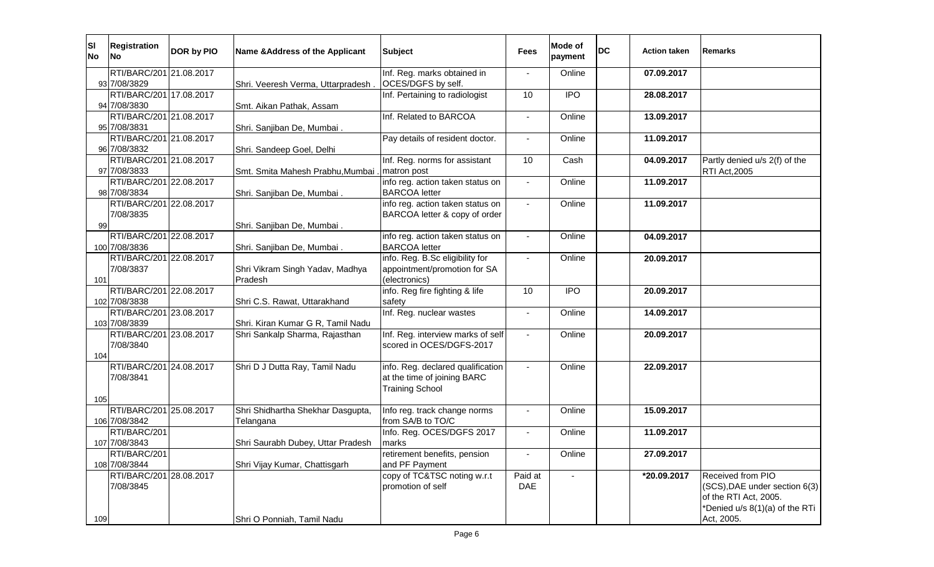| ΙSΙ<br><b>No</b> | <b>Registration</b><br><b>INo</b> | DOR by PIO | Name & Address of the Applicant    | <b>Subject</b>                    | <b>Fees</b>    | Mode of<br>payment | <b>DC</b> | Action taken | <b>Remarks</b>                 |
|------------------|-----------------------------------|------------|------------------------------------|-----------------------------------|----------------|--------------------|-----------|--------------|--------------------------------|
|                  | RTI/BARC/201 21.08.2017           |            |                                    | Inf. Reg. marks obtained in       |                | Online             |           | 07.09.2017   |                                |
|                  | 93 7/08/3829                      |            | Shri. Veeresh Verma, Uttarpradesh. | OCES/DGFS by self.                |                |                    |           |              |                                |
|                  | RTI/BARC/201 17.08.2017           |            |                                    | Inf. Pertaining to radiologist    | 10             | $\overline{1}$     |           | 28.08.2017   |                                |
|                  | 94 7/08/3830                      |            | Smt. Aikan Pathak, Assam           |                                   |                |                    |           |              |                                |
|                  | RTI/BARC/201 21.08.2017           |            |                                    | Inf. Related to BARCOA            |                | Online             |           | 13.09.2017   |                                |
|                  | 95 7/08/3831                      |            | Shri. Sanjiban De, Mumbai.         |                                   |                |                    |           |              |                                |
|                  | RTI/BARC/201 21.08.2017           |            |                                    | Pay details of resident doctor.   | $\blacksquare$ | Online             |           | 11.09.2017   |                                |
|                  | 96 7/08/3832                      |            | Shri. Sandeep Goel, Delhi          |                                   |                |                    |           |              |                                |
|                  | RTI/BARC/201 21.08.2017           |            |                                    | Inf. Reg. norms for assistant     | 10             | Cash               |           | 04.09.2017   | Partly denied u/s 2(f) of the  |
|                  | 97 7/08/3833                      |            | Smt. Smita Mahesh Prabhu, Mumbai   | matron post                       |                |                    |           |              | <b>RTI Act, 2005</b>           |
|                  | RTI/BARC/201 22.08.2017           |            |                                    | info reg. action taken status on  | $\blacksquare$ | Online             |           | 11.09.2017   |                                |
|                  | 98 7/08/3834                      |            | Shri. Sanjiban De, Mumbai.         | <b>BARCOA</b> letter              |                |                    |           |              |                                |
|                  | RTI/BARC/201 22.08.2017           |            |                                    | info reg. action taken status on  | $\blacksquare$ | Online             |           | 11.09.2017   |                                |
|                  | 7/08/3835                         |            |                                    | BARCOA letter & copy of order     |                |                    |           |              |                                |
| 99               | RTI/BARC/201 22.08.2017           |            | Shri. Sanjiban De, Mumbai.         | info reg. action taken status on  | $\blacksquare$ | Online             |           | 04.09.2017   |                                |
|                  | 100 7/08/3836                     |            | Shri. Sanjiban De, Mumbai.         | <b>BARCOA</b> letter              |                |                    |           |              |                                |
|                  | RTI/BARC/201 22.08.2017           |            |                                    | info. Reg. B.Sc eligibility for   | $\blacksquare$ | Online             |           | 20.09.2017   |                                |
|                  | 7/08/3837                         |            | Shri Vikram Singh Yadav, Madhya    | appointment/promotion for SA      |                |                    |           |              |                                |
| 101              |                                   |            | Pradesh                            | (electronics)                     |                |                    |           |              |                                |
|                  | RTI/BARC/201 22.08.2017           |            |                                    | info. Reg fire fighting & life    | 10             | <b>IPO</b>         |           | 20.09.2017   |                                |
|                  | 102 7/08/3838                     |            | Shri C.S. Rawat, Uttarakhand       | safety                            |                |                    |           |              |                                |
|                  | RTI/BARC/201 23.08.2017           |            |                                    | Inf. Reg. nuclear wastes          |                | Online             |           | 14.09.2017   |                                |
|                  | 103 7/08/3839                     |            | Shri. Kiran Kumar G R, Tamil Nadu  |                                   |                |                    |           |              |                                |
|                  | RTI/BARC/201 23.08.2017           |            | Shri Sankalp Sharma, Rajasthan     | Inf. Reg. interview marks of self |                | Online             |           | 20.09.2017   |                                |
|                  | 7/08/3840                         |            |                                    | scored in OCES/DGFS-2017          |                |                    |           |              |                                |
| 104              |                                   |            |                                    |                                   |                |                    |           |              |                                |
|                  | RTI/BARC/201 24.08.2017           |            | Shri D J Dutta Ray, Tamil Nadu     | info. Reg. declared qualification |                | Online             |           | 22.09.2017   |                                |
|                  | 7/08/3841                         |            |                                    | at the time of joining BARC       |                |                    |           |              |                                |
|                  |                                   |            |                                    | <b>Training School</b>            |                |                    |           |              |                                |
| 105              |                                   |            |                                    |                                   |                |                    |           |              |                                |
|                  | RTI/BARC/201 25.08.2017           |            | Shri Shidhartha Shekhar Dasgupta,  | Info reg. track change norms      | $\blacksquare$ | Online             |           | 15.09.2017   |                                |
|                  | 106 7/08/3842                     |            | Telangana                          | from SA/B to TO/C                 |                |                    |           |              |                                |
|                  | RTI/BARC/201                      |            |                                    | Info. Reg. OCES/DGFS 2017         |                | Online             |           | 11.09.2017   |                                |
|                  | 107 7/08/3843                     |            | Shri Saurabh Dubey, Uttar Pradesh  | marks                             |                |                    |           |              |                                |
|                  | RTI/BARC/201                      |            |                                    | retirement benefits, pension      | $\blacksquare$ | Online             |           | 27.09.2017   |                                |
|                  | 108 7/08/3844                     |            | Shri Vijay Kumar, Chattisgarh      | and PF Payment                    |                |                    |           |              |                                |
|                  | RTI/BARC/201 28.08.2017           |            |                                    | copy of TC&TSC noting w.r.t       | Paid at        |                    |           | *20.09.2017  | Received from PIO              |
|                  | 7/08/3845                         |            |                                    | promotion of self                 | DAE            |                    |           |              | (SCS), DAE under section 6(3)  |
|                  |                                   |            |                                    |                                   |                |                    |           |              | of the RTI Act, 2005.          |
|                  |                                   |            |                                    |                                   |                |                    |           |              | *Denied u/s 8(1)(a) of the RTi |
| 109              |                                   |            | Shri O Ponniah, Tamil Nadu         |                                   |                |                    |           |              | Act, 2005.                     |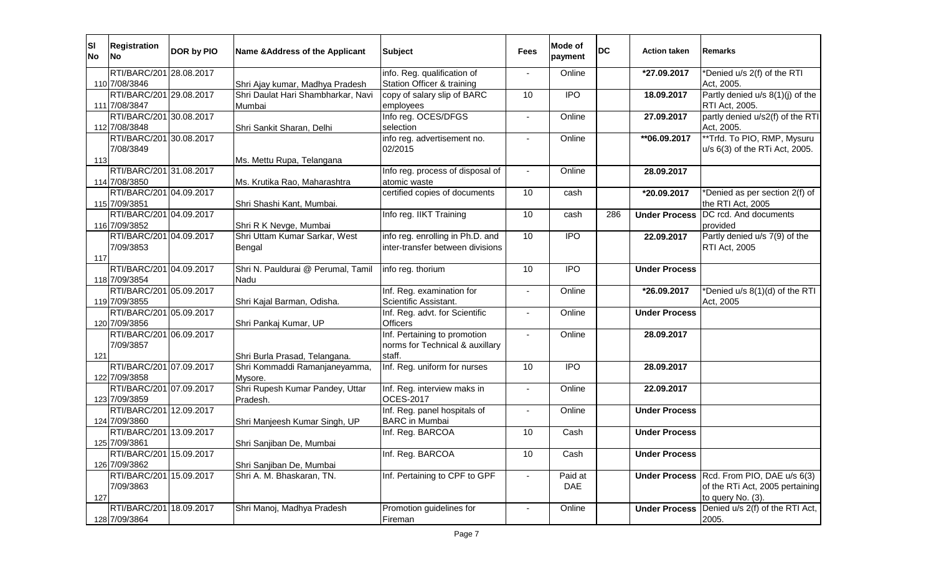| SI <br><b>No</b> | <b>Registration</b><br><b>INo</b>        | <b>DOR by PIO</b> | Name & Address of the Applicant    | <b>Subject</b>                                     | <b>Fees</b>    | Mode of<br>payment | <b>DC</b> | <b>Action taken</b>  | Remarks                                     |
|------------------|------------------------------------------|-------------------|------------------------------------|----------------------------------------------------|----------------|--------------------|-----------|----------------------|---------------------------------------------|
|                  | RTI/BARC/201 28.08.2017                  |                   |                                    | info. Reg. qualification of                        |                | Online             |           | *27.09.2017          | *Denied u/s 2(f) of the RTI                 |
|                  | 110 7/08/3846                            |                   | Shri Ajay kumar, Madhya Pradesh    | Station Officer & training                         |                |                    |           |                      | Act. 2005.                                  |
|                  | RTI/BARC/201 29.08.2017                  |                   | Shri Daulat Hari Shambharkar, Navi | copy of salary slip of BARC                        | 10             | $\overline{IPO}$   |           | 18.09.2017           | Partly denied u/s 8(1)(j) of the            |
|                  | 111 7/08/3847                            |                   | Mumbai                             | employees                                          |                |                    |           |                      | RTI Act, 2005.                              |
|                  | RTI/BARC/201 30.08.2017                  |                   |                                    | Info reg. OCES/DFGS                                |                | Online             |           | 27.09.2017           | partly denied u/s2(f) of the RTI            |
|                  | 112 7/08/3848                            |                   | Shri Sankit Sharan, Delhi          | selection                                          |                |                    |           |                      | Act, 2005.                                  |
|                  | RTI/BARC/201 30.08.2017<br>7/08/3849     |                   |                                    | info reg. advertisement no.<br>02/2015             |                | Online             |           | **06.09.2017         | **Trfd. To PIO, RMP, Mysuru                 |
| 113              |                                          |                   | Ms. Mettu Rupa, Telangana          |                                                    |                |                    |           |                      | u/s 6(3) of the RTi Act, 2005.              |
|                  | RTI/BARC/201 31.08.2017                  |                   |                                    | Info reg. process of disposal of                   | $\blacksquare$ | Online             |           | 28.09.2017           |                                             |
|                  | 114 7/08/3850                            |                   | Ms. Krutika Rao, Maharashtra       | atomic waste                                       |                |                    |           |                      |                                             |
|                  | RTI/BARC/201 04.09.2017                  |                   |                                    | certified copies of documents                      | 10             | cash               |           | *20.09.2017          | Denied as per section 2(f) of               |
|                  | 115 7/09/3851                            |                   | Shri Shashi Kant, Mumbai.          |                                                    |                |                    |           |                      | the RTI Act, 2005                           |
|                  | RTI/BARC/201 04.09.2017                  |                   |                                    | Info reg. IIKT Training                            | 10             | cash               | 286       | <b>Under Process</b> | DC rcd. And documents                       |
|                  | 116 7/09/3852                            |                   | Shri R K Nevge, Mumbai             |                                                    |                |                    |           |                      | provided                                    |
|                  | RTI/BARC/201 04.09.2017                  |                   | Shri Uttam Kumar Sarkar, West      | info reg. enrolling in Ph.D. and                   | 10             | $\overline{1}$     |           | 22.09.2017           | Partly denied u/s 7(9) of the               |
|                  | 7/09/3853                                |                   | Bengal                             | inter-transfer between divisions                   |                |                    |           |                      | <b>RTI Act, 2005</b>                        |
| 117              |                                          |                   |                                    |                                                    |                |                    |           |                      |                                             |
|                  | RTI/BARC/201 04.09.2017                  |                   | Shri N. Pauldurai @ Perumal, Tamil | info reg. thorium                                  | 10             | <b>IPO</b>         |           | <b>Under Process</b> |                                             |
|                  | 118 7/09/3854                            |                   | Nadu                               |                                                    |                |                    |           |                      |                                             |
|                  | RTI/BARC/201 05.09.2017<br>119 7/09/3855 |                   |                                    | Inf. Reg. examination for<br>Scientific Assistant. |                | Online             |           | *26.09.2017          | *Denied u/s 8(1)(d) of the RTI<br>Act, 2005 |
|                  | RTI/BARC/201 05.09.2017                  |                   | Shri Kajal Barman, Odisha.         | Inf. Reg. advt. for Scientific                     |                | Online             |           | <b>Under Process</b> |                                             |
|                  | 120 7/09/3856                            |                   | Shri Pankaj Kumar, UP              | <b>Officers</b>                                    |                |                    |           |                      |                                             |
|                  | RTI/BARC/201 06.09.2017                  |                   |                                    | Inf. Pertaining to promotion                       |                | Online             |           | 28.09.2017           |                                             |
|                  | 7/09/3857                                |                   |                                    | norms for Technical & auxillary                    |                |                    |           |                      |                                             |
| 121              |                                          |                   | Shri Burla Prasad, Telangana.      | staff.                                             |                |                    |           |                      |                                             |
|                  | RTI/BARC/201 07.09.2017                  |                   | Shri Kommaddi Ramanjaneyamma,      | Inf. Reg. uniform for nurses                       | 10             | <b>IPO</b>         |           | 28.09.2017           |                                             |
|                  | 122 7/09/3858                            |                   | Mysore.                            |                                                    |                |                    |           |                      |                                             |
|                  | RTI/BARC/201 07.09.2017                  |                   | Shri Rupesh Kumar Pandey, Uttar    | Inf. Reg. interview maks in                        |                | Online             |           | 22.09.2017           |                                             |
|                  | 123 7/09/3859                            |                   | Pradesh.                           | <b>OCES-2017</b>                                   |                |                    |           |                      |                                             |
|                  | RTI/BARC/201 12.09.2017                  |                   |                                    | Inf. Reg. panel hospitals of                       |                | Online             |           | <b>Under Process</b> |                                             |
|                  | 124 7/09/3860                            |                   | Shri Manjeesh Kumar Singh, UP      | <b>BARC</b> in Mumbai                              |                |                    |           |                      |                                             |
|                  | RTI/BARC/201 13.09.2017                  |                   |                                    | Inf. Reg. BARCOA                                   | 10             | Cash               |           | <b>Under Process</b> |                                             |
|                  | 125 7/09/3861<br>RTI/BARC/201 15.09.2017 |                   | Shri Sanjiban De, Mumbai           | Inf. Reg. BARCOA                                   | 10             | Cash               |           |                      |                                             |
|                  | 126 7/09/3862                            |                   | Shri Sanjiban De, Mumbai           |                                                    |                |                    |           | <b>Under Process</b> |                                             |
|                  | RTI/BARC/201 15.09.2017                  |                   | Shri A. M. Bhaskaran, TN.          | Inf. Pertaining to CPF to GPF                      |                | Paid at            |           | <b>Under Process</b> | Rcd. From PIO, DAE u/s 6(3)                 |
|                  | 7/09/3863                                |                   |                                    |                                                    |                | DAE                |           |                      | of the RTi Act, 2005 pertaining             |
| 127              |                                          |                   |                                    |                                                    |                |                    |           |                      | to query No. (3).                           |
|                  | RTI/BARC/201 18.09.2017                  |                   | Shri Manoj, Madhya Pradesh         | Promotion guidelines for                           |                | Online             |           | <b>Under Process</b> | Denied u/s 2(f) of the RTI Act,             |
|                  | 128 7/09/3864                            |                   |                                    | Fireman                                            |                |                    |           |                      | 2005.                                       |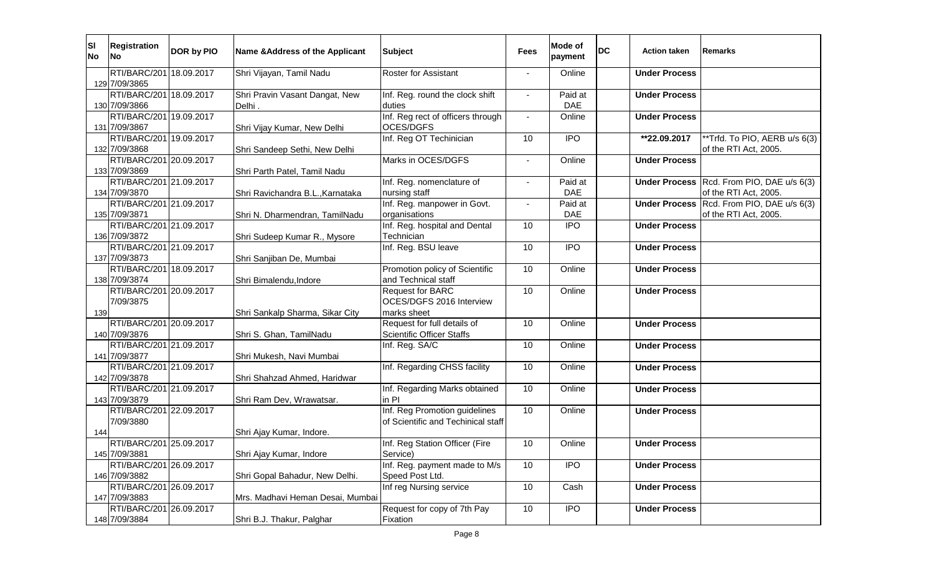| SI <br><b>No</b> | <b>Registration</b><br><b>INo</b>        | DOR by PIO | Name & Address of the Applicant  | <b>Subject</b>                                 | Fees                     | Mode of<br>payment | <b>DC</b> | <b>Action taken</b>  | Remarks                       |
|------------------|------------------------------------------|------------|----------------------------------|------------------------------------------------|--------------------------|--------------------|-----------|----------------------|-------------------------------|
|                  | RTI/BARC/201 18.09.2017                  |            | Shri Vijayan, Tamil Nadu         | <b>Roster for Assistant</b>                    |                          | Online             |           | <b>Under Process</b> |                               |
|                  | 129 7/09/3865                            |            |                                  |                                                |                          |                    |           |                      |                               |
|                  | RTI/BARC/201 18.09.2017                  |            | Shri Pravin Vasant Dangat, New   | Inf. Reg. round the clock shift                |                          | Paid at            |           | <b>Under Process</b> |                               |
|                  | 130 7/09/3866                            |            | Delhi.                           | duties                                         |                          | <b>DAE</b>         |           |                      |                               |
|                  | RTI/BARC/201 19.09.2017                  |            |                                  | Inf. Reg rect of officers through<br>OCES/DGFS | $\overline{\phantom{a}}$ | Online             |           | <b>Under Process</b> |                               |
|                  | 131 7/09/3867<br>RTI/BARC/201 19.09.2017 |            | Shri Vijay Kumar, New Delhi      | Inf. Reg OT Techinician                        | 10                       | <b>IPO</b>         |           |                      | **Trfd. To PIO, AERB u/s 6(3) |
|                  | 132 7/09/3868                            |            | Shri Sandeep Sethi, New Delhi    |                                                |                          |                    |           | **22.09.2017         | of the RTI Act, 2005.         |
|                  | RTI/BARC/201 20.09.2017                  |            |                                  | Marks in OCES/DGFS                             |                          | Online             |           | <b>Under Process</b> |                               |
|                  | 133 7/09/3869                            |            | Shri Parth Patel, Tamil Nadu     |                                                |                          |                    |           |                      |                               |
|                  | RTI/BARC/201 21.09.2017                  |            |                                  | Inf. Reg. nomenclature of                      | $\blacksquare$           | Paid at            |           | <b>Under Process</b> | Rcd. From PIO, DAE u/s 6(3)   |
|                  | 134 7/09/3870                            |            | Shri Ravichandra B.L., Karnataka | nursing staff                                  |                          | <b>DAE</b>         |           |                      | of the RTI Act, 2005.         |
|                  | RTI/BARC/201 21.09.2017                  |            |                                  | Inf. Reg. manpower in Govt.                    |                          | Paid at            |           | <b>Under Process</b> | Rcd. From PIO, DAE u/s 6(3)   |
|                  | 135 7/09/3871                            |            | Shri N. Dharmendran, TamilNadu   | organisations                                  |                          | <b>DAE</b>         |           |                      | of the RTI Act, 2005.         |
|                  | RTI/BARC/201 21.09.2017                  |            |                                  | Inf. Reg. hospital and Dental                  | 10                       | <b>IPO</b>         |           | <b>Under Process</b> |                               |
|                  | 136 7/09/3872                            |            | Shri Sudeep Kumar R., Mysore     | Technician                                     |                          |                    |           |                      |                               |
|                  | RTI/BARC/201 21.09.2017                  |            |                                  | Inf. Reg. BSU leave                            | 10                       | <b>IPO</b>         |           | <b>Under Process</b> |                               |
|                  | 137 7/09/3873                            |            | Shri Sanjiban De, Mumbai         |                                                |                          |                    |           |                      |                               |
|                  | RTI/BARC/201 18.09.2017                  |            |                                  | Promotion policy of Scientific                 | 10                       | Online             |           | <b>Under Process</b> |                               |
|                  | 138 7/09/3874                            |            | Shri Bimalendu, Indore           | and Technical staff                            |                          |                    |           |                      |                               |
|                  | RTI/BARC/201 20.09.2017                  |            |                                  | <b>Request for BARC</b>                        | 10                       | Online             |           | <b>Under Process</b> |                               |
|                  | 7/09/3875                                |            |                                  | OCES/DGFS 2016 Interview                       |                          |                    |           |                      |                               |
| 139              |                                          |            | Shri Sankalp Sharma, Sikar City  | marks sheet                                    |                          |                    |           |                      |                               |
|                  | RTI/BARC/201 20.09.2017                  |            |                                  | Request for full details of                    | 10                       | Online             |           | <b>Under Process</b> |                               |
|                  | 140 7/09/3876                            |            | Shri S. Ghan, TamilNadu          | <b>Scientific Officer Staffs</b>               |                          |                    |           |                      |                               |
|                  | RTI/BARC/201 21.09.2017                  |            |                                  | Inf. Reg. SA/C                                 | 10                       | Online             |           | <b>Under Process</b> |                               |
|                  | 141 7/09/3877<br>RTI/BARC/201 21.09.2017 |            | Shri Mukesh, Navi Mumbai         |                                                |                          |                    |           |                      |                               |
|                  | 142 7/09/3878                            |            | Shri Shahzad Ahmed, Haridwar     | Inf. Regarding CHSS facility                   | 10                       | Online             |           | <b>Under Process</b> |                               |
|                  | RTI/BARC/201 21.09.2017                  |            |                                  | Inf. Regarding Marks obtained                  | 10                       | Online             |           | <b>Under Process</b> |                               |
|                  | 143 7/09/3879                            |            | Shri Ram Dev, Wrawatsar.         | in Pl                                          |                          |                    |           |                      |                               |
|                  | RTI/BARC/201 22.09.2017                  |            |                                  | Inf. Reg Promotion guidelines                  | 10                       | Online             |           | <b>Under Process</b> |                               |
|                  | 7/09/3880                                |            |                                  | of Scientific and Techinical staff             |                          |                    |           |                      |                               |
| 144              |                                          |            | Shri Ajay Kumar, Indore.         |                                                |                          |                    |           |                      |                               |
|                  | RTI/BARC/201 25.09.2017                  |            |                                  | Inf. Reg Station Officer (Fire                 | 10                       | Online             |           | <b>Under Process</b> |                               |
|                  | 145 7/09/3881                            |            | Shri Ajay Kumar, Indore          | Service)                                       |                          |                    |           |                      |                               |
|                  | RTI/BARC/201 26.09.2017                  |            |                                  | Inf. Reg. payment made to M/s                  | 10                       | <b>IPO</b>         |           | <b>Under Process</b> |                               |
|                  | 146 7/09/3882                            |            | Shri Gopal Bahadur, New Delhi.   | Speed Post Ltd.                                |                          |                    |           |                      |                               |
|                  | RTI/BARC/201 26.09.2017                  |            |                                  | Inf reg Nursing service                        | 10                       | Cash               |           | <b>Under Process</b> |                               |
|                  | 147 7/09/3883                            |            | Mrs. Madhavi Heman Desai, Mumbai |                                                |                          |                    |           |                      |                               |
|                  | RTI/BARC/201 26.09.2017                  |            |                                  | Request for copy of 7th Pay                    | 10                       | <b>IPO</b>         |           | <b>Under Process</b> |                               |
|                  | 148 7/09/3884                            |            | Shri B.J. Thakur, Palghar        | Fixation                                       |                          |                    |           |                      |                               |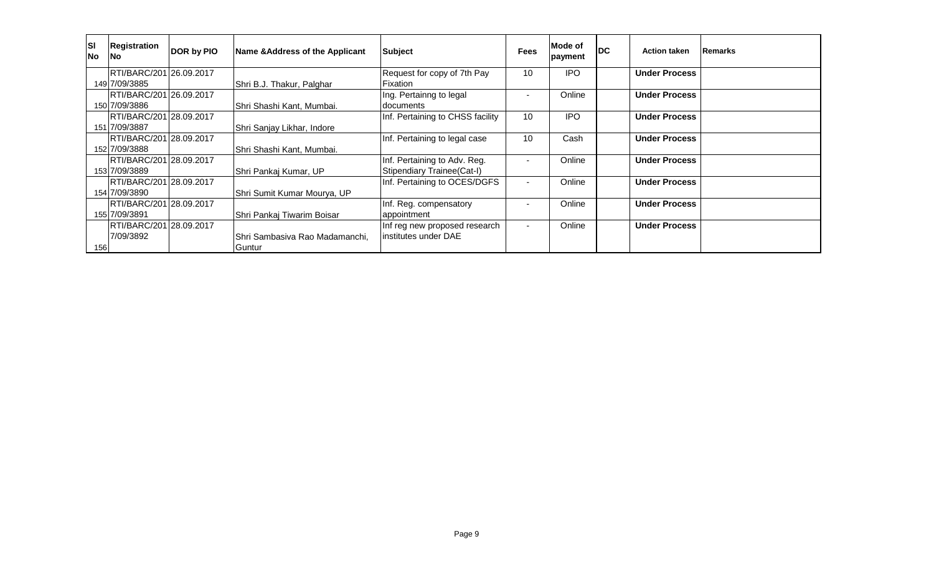| <b>SI</b><br><b>No</b> | Registration<br>INo.    | DOR by PIO | Name & Address of the Applicant | <b>Subject</b>                   | <b>Fees</b>    | Mode of<br>payment | <b>DC</b> | <b>Action taken</b>  | <b>Remarks</b> |
|------------------------|-------------------------|------------|---------------------------------|----------------------------------|----------------|--------------------|-----------|----------------------|----------------|
|                        | RTI/BARC/201 26.09.2017 |            |                                 | Request for copy of 7th Pay      | 10             | <b>IPO</b>         |           | <b>Under Process</b> |                |
|                        | 149 7/09/3885           |            | Shri B.J. Thakur, Palghar       | Fixation                         |                |                    |           |                      |                |
|                        | RTI/BARC/201 26.09.2017 |            |                                 | Ing. Pertainng to legal          |                | Online             |           | <b>Under Process</b> |                |
|                        | 150 7/09/3886           |            | Shri Shashi Kant, Mumbai.       | <b>documents</b>                 |                |                    |           |                      |                |
|                        | RTI/BARC/201 28.09.2017 |            |                                 | Inf. Pertaining to CHSS facility | 10             | <b>IPO</b>         |           | <b>Under Process</b> |                |
|                        | 151 7/09/3887           |            | Shri Sanjay Likhar, Indore      |                                  |                |                    |           |                      |                |
|                        | RTI/BARC/201 28.09.2017 |            |                                 | Inf. Pertaining to legal case    | 10             | Cash               |           | <b>Under Process</b> |                |
|                        | 152 7/09/3888           |            | Shri Shashi Kant, Mumbai.       |                                  |                |                    |           |                      |                |
|                        | RTI/BARC/201 28.09.2017 |            |                                 | Inf. Pertaining to Adv. Reg.     |                | Online             |           | <b>Under Process</b> |                |
|                        | 153 7/09/3889           |            | Shri Pankaj Kumar, UP           | Stipendiary Trainee(Cat-I)       |                |                    |           |                      |                |
|                        | RTI/BARC/201 28.09.2017 |            |                                 | Inf. Pertaining to OCES/DGFS     |                | Online             |           | <b>Under Process</b> |                |
|                        | 154 7/09/3890           |            | Shri Sumit Kumar Mourya, UP     |                                  |                |                    |           |                      |                |
|                        | RTI/BARC/201 28.09.2017 |            |                                 | Inf. Reg. compensatory           |                | Online             |           | <b>Under Process</b> |                |
|                        | 155 7/09/3891           |            | Shri Pankaj Tiwarim Boisar      | appointment                      |                |                    |           |                      |                |
|                        | RTI/BARC/201 28.09.2017 |            |                                 | Inf reg new proposed research    | $\blacksquare$ | Online             |           | <b>Under Process</b> |                |
|                        | 7/09/3892               |            | Shri Sambasiya Rao Madamanchi.  | institutes under DAE             |                |                    |           |                      |                |
| 156                    |                         |            | Guntur                          |                                  |                |                    |           |                      |                |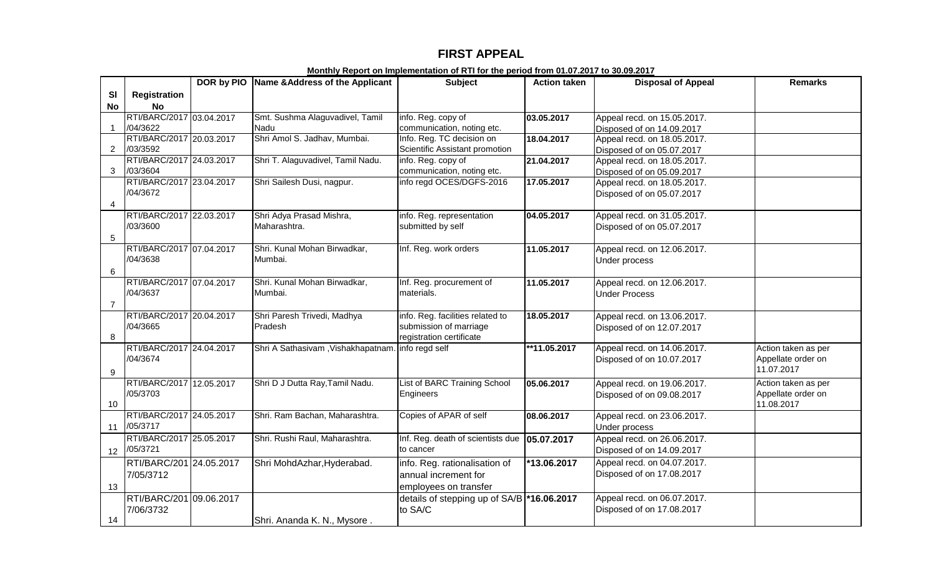## **FIRST APPEAL**

|                |                          | DOR by PIO Name & Address of the Applicant | <b>Subject</b>                              | <b>Action taken</b> | <b>Disposal of Appeal</b>   | <b>Remarks</b>      |
|----------------|--------------------------|--------------------------------------------|---------------------------------------------|---------------------|-----------------------------|---------------------|
| <b>SI</b>      | <b>Registration</b>      |                                            |                                             |                     |                             |                     |
| <b>No</b>      | <b>No</b>                |                                            |                                             |                     |                             |                     |
|                | RTI/BARC/2017 03.04.2017 | Smt. Sushma Alaguvadivel, Tamil            | info. Reg. copy of                          | 03.05.2017          | Appeal recd. on 15.05.2017. |                     |
| $\overline{1}$ | /04/3622                 | Nadu                                       | communication, noting etc.                  |                     | Disposed of on 14.09.2017   |                     |
|                | RTI/BARC/2017 20.03.2017 | Shri Amol S. Jadhav, Mumbai.               | Info. Reg. TC decision on                   | 18.04.2017          | Appeal recd. on 18.05.2017. |                     |
| 2              | /03/3592                 |                                            | Scientific Assistant promotion              |                     | Disposed of on 05.07.2017   |                     |
|                | RTI/BARC/2017 24.03.2017 | Shri T. Alaguvadivel, Tamil Nadu.          | info. Reg. copy of                          | 21.04.2017          | Appeal recd. on 18.05.2017. |                     |
| 3              | /03/3604                 |                                            | communication, noting etc.                  |                     | Disposed of on 05.09.2017   |                     |
|                | RTI/BARC/2017 23.04.2017 | Shri Sailesh Dusi, nagpur.                 | info regd OCES/DGFS-2016                    | 17.05.2017          | Appeal recd. on 18.05.2017. |                     |
|                | /04/3672                 |                                            |                                             |                     | Disposed of on 05.07.2017   |                     |
| $\overline{4}$ |                          |                                            |                                             |                     |                             |                     |
|                | RTI/BARC/2017 22.03.2017 | Shri Adya Prasad Mishra,                   | info. Reg. representation                   | 04.05.2017          | Appeal recd. on 31.05.2017. |                     |
|                | /03/3600                 | Maharashtra.                               | submitted by self                           |                     | Disposed of on 05.07.2017   |                     |
| $\sqrt{5}$     |                          |                                            |                                             |                     |                             |                     |
|                | RTI/BARC/2017 07.04.2017 | Shri. Kunal Mohan Birwadkar,               | Inf. Reg. work orders                       | 11.05.2017          | Appeal recd. on 12.06.2017. |                     |
|                | /04/3638                 | Mumbai.                                    |                                             |                     | Under process               |                     |
| 6              |                          |                                            |                                             |                     |                             |                     |
|                | RTI/BARC/2017 07.04.2017 | Shri. Kunal Mohan Birwadkar,               | Inf. Reg. procurement of                    | 11.05.2017          | Appeal recd. on 12.06.2017. |                     |
|                | /04/3637                 | Mumbai.                                    | materials.                                  |                     | <b>Under Process</b>        |                     |
| $\overline{7}$ |                          |                                            |                                             |                     |                             |                     |
|                | RTI/BARC/2017 20.04.2017 | Shri Paresh Trivedi, Madhya                | info. Reg. facilities related to            | 18.05.2017          | Appeal recd. on 13.06.2017. |                     |
|                | /04/3665                 | <b>Pradesh</b>                             | submission of marriage                      |                     | Disposed of on 12.07.2017   |                     |
| 8              |                          |                                            | registration certificate                    |                     |                             |                     |
|                | RTI/BARC/2017 24.04.2017 | Shri A Sathasivam , Vishakhapatnam.        | info regd self                              | **11.05.2017        | Appeal recd. on 14.06.2017. | Action taken as per |
|                | /04/3674                 |                                            |                                             |                     | Disposed of on 10.07.2017   | Appellate order on  |
| 9              |                          |                                            |                                             |                     |                             | 11.07.2017          |
|                | RTI/BARC/2017 12.05.2017 | Shri D J Dutta Ray, Tamil Nadu.            | List of BARC Training School                | 05.06.2017          | Appeal recd. on 19.06.2017. | Action taken as per |
|                | /05/3703                 |                                            | Engineers                                   |                     | Disposed of on 09.08.2017   | Appellate order on  |
| 10             |                          |                                            |                                             |                     |                             | 11.08.2017          |
|                | RTI/BARC/2017 24.05.2017 | Shri. Ram Bachan, Maharashtra.             | Copies of APAR of self                      | 08.06.2017          | Appeal recd. on 23.06.2017. |                     |
| 11             | /05/3717                 |                                            |                                             |                     | Under process               |                     |
|                | RTI/BARC/2017 25.05.2017 | Shri. Rushi Raul, Maharashtra.             | Inf. Reg. death of scientists due           | 05.07.2017          | Appeal recd. on 26.06.2017. |                     |
| 12             | /05/3721                 |                                            | to cancer                                   |                     | Disposed of on 14.09.2017   |                     |
|                | RTI/BARC/201 24.05.2017  | Shri MohdAzhar, Hyderabad.                 | info. Reg. rationalisation of               | *13.06.2017         | Appeal recd. on 04.07.2017. |                     |
|                | 7/05/3712                |                                            | annual increment for                        |                     | Disposed of on 17.08.2017   |                     |
| 13             |                          |                                            | employees on transfer                       |                     |                             |                     |
|                | RTI/BARC/201 09.06.2017  |                                            | details of stepping up of SA/B  *16.06.2017 |                     | Appeal recd. on 06.07.2017. |                     |
|                | 7/06/3732                |                                            | to SA/C                                     |                     | Disposed of on 17.08.2017   |                     |
| 14             |                          | Shri. Ananda K. N., Mysore.                |                                             |                     |                             |                     |
|                |                          |                                            |                                             |                     |                             |                     |

**Monthly Report on Implementation of RTI for the period from 01.07.2017 to 30.09.2017**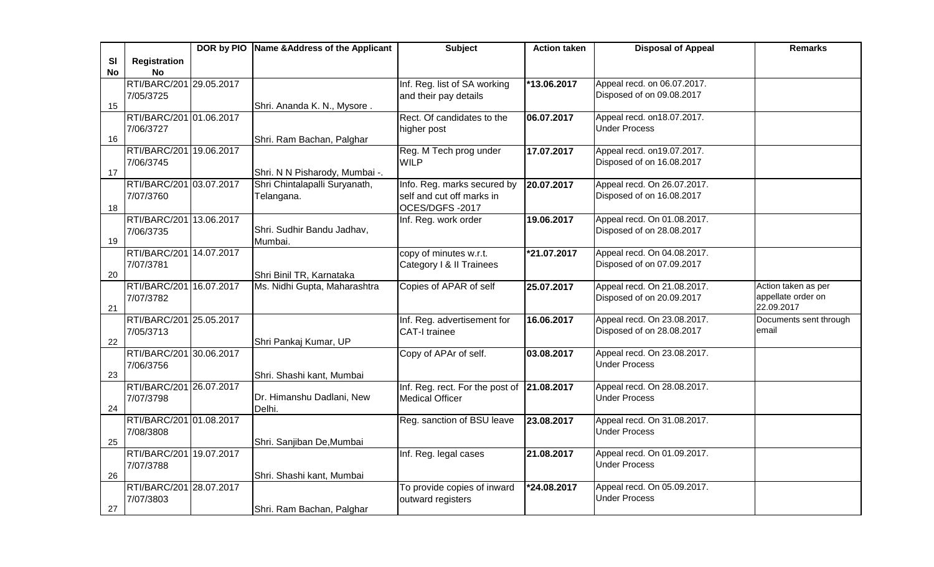|           |                         | DOR by PIO Name & Address of the Applicant | <b>Subject</b>                                           | <b>Action taken</b> | <b>Disposal of Appeal</b>   | <b>Remarks</b>         |
|-----------|-------------------------|--------------------------------------------|----------------------------------------------------------|---------------------|-----------------------------|------------------------|
| SI        | <b>Registration</b>     |                                            |                                                          |                     |                             |                        |
| <b>No</b> | <b>No</b>               |                                            |                                                          |                     |                             |                        |
|           | RTI/BARC/201 29.05.2017 |                                            | Inf. Reg. list of SA working                             | *13.06.2017         | Appeal recd. on 06.07.2017. |                        |
|           | 7/05/3725               |                                            | and their pay details                                    |                     | Disposed of on 09.08.2017   |                        |
| 15        |                         | Shri. Ananda K. N., Mysore.                |                                                          |                     |                             |                        |
|           | RTI/BARC/201 01.06.2017 |                                            | Rect. Of candidates to the                               | 06.07.2017          | Appeal recd. on18.07.2017.  |                        |
|           | 7/06/3727               |                                            | higher post                                              |                     | <b>Under Process</b>        |                        |
| 16        |                         | Shri. Ram Bachan, Palghar                  |                                                          |                     |                             |                        |
|           | RTI/BARC/201 19.06.2017 |                                            | Reg. M Tech prog under                                   | 17.07.2017          | Appeal recd. on19.07.2017.  |                        |
| 17        | 7/06/3745               |                                            | <b>WILP</b>                                              |                     | Disposed of on 16.08.2017   |                        |
|           | RTI/BARC/201 03.07.2017 | Shri. N N Pisharody, Mumbai -.             |                                                          | 20.07.2017          | Appeal recd. On 26.07.2017. |                        |
|           | 7/07/3760               | Shri Chintalapalli Suryanath,              | Info. Reg. marks secured by<br>self and cut off marks in |                     | Disposed of on 16.08.2017   |                        |
|           |                         | Telangana.                                 | OCES/DGFS-2017                                           |                     |                             |                        |
| 18        | RTI/BARC/201 13.06.2017 |                                            | Inf. Reg. work order                                     | 19.06.2017          | Appeal recd. On 01.08.2017. |                        |
|           | 7/06/3735               | Shri. Sudhir Bandu Jadhav,                 |                                                          |                     | Disposed of on 28.08.2017   |                        |
| 19        |                         | Mumbai.                                    |                                                          |                     |                             |                        |
|           | RTI/BARC/201 14.07.2017 |                                            | copy of minutes w.r.t.                                   | *21.07.2017         | Appeal recd. On 04.08.2017. |                        |
|           | 7/07/3781               |                                            | Category   & II Trainees                                 |                     | Disposed of on 07.09.2017   |                        |
| 20        |                         | Shri Binil TR, Karnataka                   |                                                          |                     |                             |                        |
|           | RTI/BARC/201 16.07.2017 | Ms. Nidhi Gupta, Maharashtra               | Copies of APAR of self                                   | 25.07.2017          | Appeal recd. On 21.08.2017. | Action taken as per    |
|           | 7/07/3782               |                                            |                                                          |                     | Disposed of on 20.09.2017   | appellate order on     |
| 21        |                         |                                            |                                                          |                     |                             | 22.09.2017             |
|           | RTI/BARC/201 25.05.2017 |                                            | Inf. Reg. advertisement for                              | 16.06.2017          | Appeal recd. On 23.08.2017. | Documents sent through |
|           | 7/05/3713               |                                            | <b>CAT-I trainee</b>                                     |                     | Disposed of on 28.08.2017   | email                  |
| 22        |                         | Shri Pankaj Kumar, UP                      |                                                          |                     |                             |                        |
|           | RTI/BARC/201 30.06.2017 |                                            | Copy of APAr of self.                                    | 03.08.2017          | Appeal recd. On 23.08.2017. |                        |
| 23        | 7/06/3756               |                                            |                                                          |                     | <b>Under Process</b>        |                        |
|           | RTI/BARC/201 26.07.2017 | Shri. Shashi kant, Mumbai                  | Inf. Reg. rect. For the post of 21.08.2017               |                     | Appeal recd. On 28.08.2017. |                        |
|           | 7/07/3798               | Dr. Himanshu Dadlani, New                  | <b>Medical Officer</b>                                   |                     | <b>Under Process</b>        |                        |
| 24        |                         | Delhi.                                     |                                                          |                     |                             |                        |
|           | RTI/BARC/201 01.08.2017 |                                            | Reg. sanction of BSU leave                               | 23.08.2017          | Appeal recd. On 31.08.2017. |                        |
|           | 7/08/3808               |                                            |                                                          |                     | <b>Under Process</b>        |                        |
| 25        |                         | Shri. Sanjiban De, Mumbai                  |                                                          |                     |                             |                        |
|           | RTI/BARC/201 19.07.2017 |                                            | Inf. Reg. legal cases                                    | 21.08.2017          | Appeal recd. On 01.09.2017. |                        |
|           | 7/07/3788               |                                            |                                                          |                     | Under Process               |                        |
| 26        |                         | Shri. Shashi kant, Mumbai                  |                                                          |                     |                             |                        |
|           | RTI/BARC/201 28.07.2017 |                                            | To provide copies of inward                              | *24.08.2017         | Appeal recd. On 05.09.2017. |                        |
|           | 7/07/3803               |                                            | outward registers                                        |                     | <b>Under Process</b>        |                        |
| 27        |                         | Shri. Ram Bachan, Palghar                  |                                                          |                     |                             |                        |